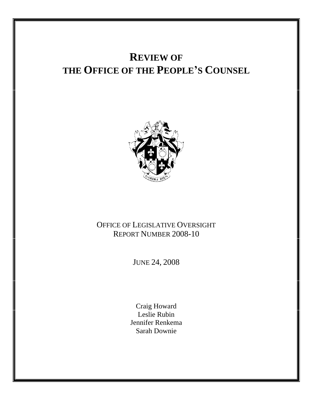# **REVIEW OF**  THE OFFICE OF THE PEOPLE'S COUNSEL OFFICE OF LEGISLATIVE OVERSIGHT REPORT NUMBER 2008-10 JUNE 24, 2008 Craig Howard Leslie Rubin and the set of the set of the set of the set of the set of the set of the set of the set of the set of the set of the set of the set of the set of the set of the set of the set of the set of the set of the set Jennifer Renkema Sarah Downie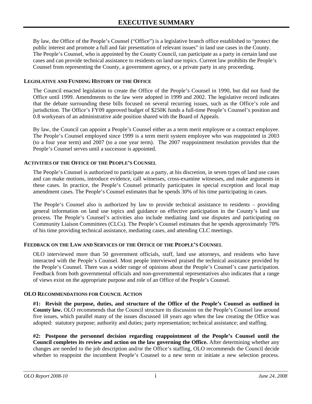By law, the Office of the People's Counsel ("Office") is a legislative branch office established to "protect the public interest and promote a full and fair presentation of relevant issues" in land use cases in the County. The People's Counsel, who is appointed by the County Council, can participate as a party in certain land use cases and can provide technical assistance to residents on land use topics. Current law prohibits the People's Counsel from representing the County, a government agency, or a private party in any proceeding.

#### **LEGISLATIVE AND FUNDING HISTORY OF THE OFFICE**

The Council enacted legislation to create the Office of the People's Counsel in 1990, but did not fund the Office until 1999. Amendments to the law were adopted in 1999 and 2002. The legislative record indicates that the debate surrounding these bills focused on several recurring issues, such as the Office's role and jurisdiction. The Office's FY09 approved budget of \$250K funds a full-time People's Counsel's position and 0.8 workyears of an administrative aide position shared with the Board of Appeals.

By law, the Council can appoint a People's Counsel either as a term merit employee or a contract employee. The People's Counsel employed since 1999 is a term merit system employee who was reappointed in 2003 (to a four year term) and  $2007$  (to a one year term). The  $2007$  reappointment resolution provides that the People's Counsel serves until a successor is appointed.

## **ACTIVITIES OF THE OFFICE OF THE PEOPLE S COUNSEL**

The People's Counsel is authorized to participate as a party, at his discretion, in seven types of land use cases and can make motions, introduce evidence, call witnesses, cross-examine witnesses, and make arguments in these cases. In practice, the People's Counsel primarily participates in special exception and local map amendment cases. The People's Counsel estimates that he spends 30% of his time participating in cases.

The People's Counsel also is authorized by law to provide technical assistance to residents  $-$  providing general information on land use topics and guidance on effective participation in the County s land use process. The People's Counsel's activities also include mediating land use disputes and participating on Community Liaison Committees (CLCs). The People's Counsel estimates that he spends approximately 70% of his time providing technical assistance, mediating cases, and attending CLC meetings.

# **FEEDBACK ON THE LAW AND SERVICES OF THE OFFICE OF THE PEOPLE S COUNSEL**

OLO interviewed more than 50 government officials, staff, land use attorneys, and residents who have interacted with the People's Counsel. Most people interviewed praised the technical assistance provided by the People's Counsel. There was a wider range of opinions about the People's Counsel's case participation. Feedback from both governmental officials and non-governmental representatives also indicates that a range of views exist on the appropriate purpose and role of an Office of the People's Counsel.

# **OLO RECOMMENDATIONS FOR COUNCIL ACTION**

#1: Revisit the purpose, duties, and structure of the Office of the People's Counsel as outlined in **County law.** OLO recommends that the Council structure its discussion on the People's Counsel law around five issues, which parallel many of the issues discussed 18 years ago when the law creating the Office was adopted: statutory purpose; authority and duties; party representation; technical assistance; and staffing.

**#2: Postpone the personnel decision regarding reappointment of the People s Counsel until the Council completes its review and action on the law governing the Office.** After determining whether any changes are needed to the job description and/or the Office's staffing, OLO recommends the Council decide whether to reappoint the incumbent People's Counsel to a new term or initiate a new selection process.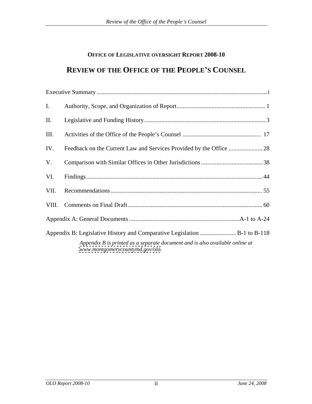# **OFFICE OF LEGISLATIVE OVERSIGHT REPORT 2008-10**

# **REVIEW OF THE OFFICE OF THE PEOPLE S COUNSEL**

| II.  |                                                                                                                 |  |
|------|-----------------------------------------------------------------------------------------------------------------|--|
| III. |                                                                                                                 |  |
|      |                                                                                                                 |  |
|      |                                                                                                                 |  |
|      |                                                                                                                 |  |
|      |                                                                                                                 |  |
|      |                                                                                                                 |  |
|      |                                                                                                                 |  |
|      | Appendix B: Legislative History and Comparative Legislation B-1 to B-118                                        |  |
|      | Appendix B is printed as a separate document and is also available online at<br>www.montgomerycountymd.gov/olo. |  |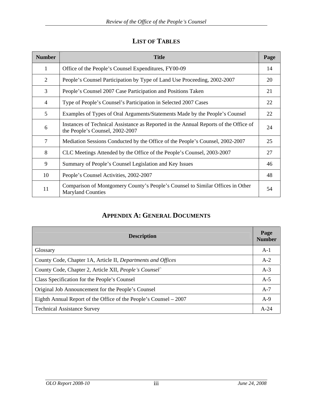# **LIST OF TABLES**

| <b>Number</b> | <b>Title</b>                                                                                                            | Page |
|---------------|-------------------------------------------------------------------------------------------------------------------------|------|
|               | Office of the People's Counsel Expenditures, FY00-09                                                                    | 14   |
|               | People's Counsel Participation by Type of Land Use Proceeding, 2002-2007                                                | 20   |
|               | People's Counsel 2007 Case Participation and Positions Taken                                                            | 21   |
|               | Type of People's Counsel's Participation in Selected 2007 Cases                                                         | 22   |
|               | Examples of Types of Oral Arguments/Statements Made by the People's Counsel                                             | 22   |
|               | Instances of Technical Assistance as Reported in the Annual Reports of the Office of<br>the People's Counsel, 2002-2007 | 24   |
|               | Mediation Sessions Conducted by the Office of the People's Counsel, 2002-2007                                           | 25   |
| 8             | CLC Meetings Attended by the Office of the People's Counsel, 2003-2007                                                  | 27   |
| 9             | Summary of People's Counsel Legislation and Key Issues                                                                  | 46   |
| 10            | People's Counsel Activities, 2002-2007                                                                                  | 48   |
| 11            | Comparison of Montgomery County's People's Counsel to Similar Offices in Other<br><b>Maryland Counties</b>              | 54   |

# **APPENDIX A: GENERAL DOCUMENTS**

| <b>Description</b>                                                | Page<br><b>Number</b> |
|-------------------------------------------------------------------|-----------------------|
| Glossary                                                          | $A-1$                 |
| County Code, Chapter 1A, Article II, Departments and Offices      | $A-2$                 |
| County Code, Chapter 2, Article XII, People's Counsel'            | $A-3$                 |
| Class Specification for the People's Counsel                      | $A-5$                 |
| Original Job Announcement for the People's Counsel                | A-7                   |
| Eighth Annual Report of the Office of the People's Counsel – 2007 | $A-9$                 |
| <b>Technical Assistance Survey</b>                                | $A-24$                |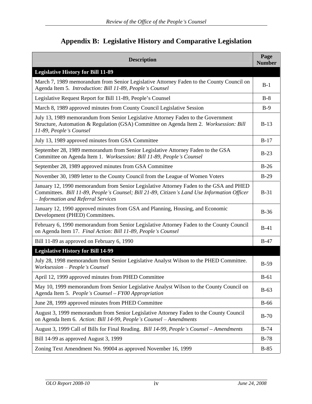| Legislative History and<br>.<br>Appendix B: I<br>egislation *<br>. Comparative Lect |  |
|-------------------------------------------------------------------------------------|--|
|                                                                                     |  |

| <b>Description</b>                                                                                                                                                                                                            | Page<br><b>Number</b> |
|-------------------------------------------------------------------------------------------------------------------------------------------------------------------------------------------------------------------------------|-----------------------|
| <b>Legislative History for Bill 11-89</b>                                                                                                                                                                                     |                       |
| March 7, 1989 memorandum from Senior Legislative Attorney Faden to the County Council on<br>Agenda Item 5. Introduction: Bill 11-89, People's Counsel                                                                         | $B-1$                 |
| Legislative Request Report for Bill 11-89, People's Counsel                                                                                                                                                                   | $B-8$                 |
| March 8, 1989 approved minutes from County Council Legislative Session                                                                                                                                                        | $B-9$                 |
| July 13, 1989 memorandum from Senior Legislative Attorney Faden to the Government<br>Structure, Automation & Regulation (GSA) Committee on Agenda Item 2. Worksession: Bill<br>11-89, People's Counsel                        | $B-13$                |
| July 13, 1989 approved minutes from GSA Committee                                                                                                                                                                             | $B-17$                |
| September 28, 1989 memorandum from Senior Legislative Attorney Faden to the GSA<br>Committee on Agenda Item 1. Worksession: Bill 11-89, People's Counsel                                                                      | $B-23$                |
| September 28, 1989 approved minutes from GSA Committee                                                                                                                                                                        | $B-26$                |
| November 30, 1989 letter to the County Council from the League of Women Voters                                                                                                                                                | $B-29$                |
| January 12, 1990 memorandum from Senior Legislative Attorney Faden to the GSA and PHED<br>Committees. Bill 11-89, People's Counsel; Bill 21-89, Citizen's Land Use Information Officer<br>- Information and Referral Services | $B-31$                |
| January 12, 1990 approved minutes from GSA and Planning, Housing, and Economic<br>Development (PHED) Committees.                                                                                                              | $B-36$                |
| February 6, 1990 memorandum from Senior Legislative Attorney Faden to the County Council<br>on Agenda Item 17. Final Action: Bill 11-89, People's Counsel                                                                     | $B-41$                |
| Bill 11-89 as approved on February 6, 1990                                                                                                                                                                                    | $B-47$                |
| Legislative History for Bill 14-99                                                                                                                                                                                            |                       |
| July 28, 1998 memorandum from Senior Legislative Analyst Wilson to the PHED Committee.<br>Worksession – People's Counsel                                                                                                      | $B-59$                |
| April 12, 1999 approved minutes from PHED Committee                                                                                                                                                                           | $B-61$                |
| May 10, 1999 memorandum from Senior Legislative Analyst Wilson to the County Council on<br>Agenda Item 5. People's Counsel - FY00 Appropriation                                                                               | $B-63$                |
| June 28, 1999 approved minutes from PHED Committee                                                                                                                                                                            | <b>B-66</b>           |
| August 3, 1999 memorandum from Senior Legislative Attorney Faden to the County Council<br>on Agenda Item 6. Action: Bill 14-99, People's Counsel - Amendments                                                                 | $B-70$                |
| August 3, 1999 Call of Bills for Final Reading. Bill 14-99, People's Counsel - Amendments                                                                                                                                     | $B-74$                |
| Bill 14-99 as approved August 3, 1999                                                                                                                                                                                         | $B-78$                |
| Zoning Text Amendment No. 99004 as approved November 16, 1999                                                                                                                                                                 | $B-85$                |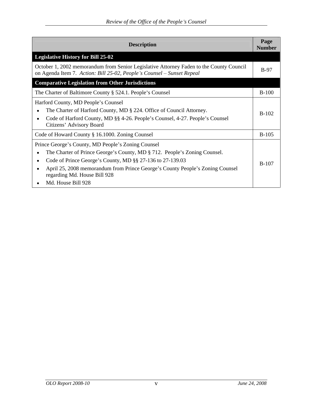| <b>Description</b>                                                                                                                                                                                                                                                                                                                          | Page<br><b>Number</b> |
|---------------------------------------------------------------------------------------------------------------------------------------------------------------------------------------------------------------------------------------------------------------------------------------------------------------------------------------------|-----------------------|
| <b>Legislative History for Bill 25-02</b>                                                                                                                                                                                                                                                                                                   |                       |
| October 1, 2002 memorandum from Senior Legislative Attorney Faden to the County Council<br>on Agenda Item 7. Action: Bill 25-02, People's Counsel - Sunset Repeal                                                                                                                                                                           | <b>B-97</b>           |
| <b>Comparative Legislation from Other Jurisdictions</b>                                                                                                                                                                                                                                                                                     |                       |
| The Charter of Baltimore County § 524.1. People's Counsel                                                                                                                                                                                                                                                                                   | $B-100$               |
| Harford County, MD People's Counsel<br>• The Charter of Harford County, MD § 224. Office of Council Attorney.<br>• Code of Harford County, MD §§ 4-26. People's Counsel, 4-27. People's Counsel<br>Citizens' Advisory Board                                                                                                                 | $B-102$               |
| Code of Howard County § 16.1000. Zoning Counsel                                                                                                                                                                                                                                                                                             | $B-105$               |
| Prince George's County, MD People's Zoning Counsel<br>• The Charter of Prince George's County, MD § 712. People's Zoning Counsel.<br>• Code of Prince George's County, MD §§ 27-136 to 27-139.03<br>• April 25, 2008 memorandum from Prince George's County People's Zoning Counsel<br>regarding Md. House Bill 928<br>• Md. House Bill 928 | $B-107$               |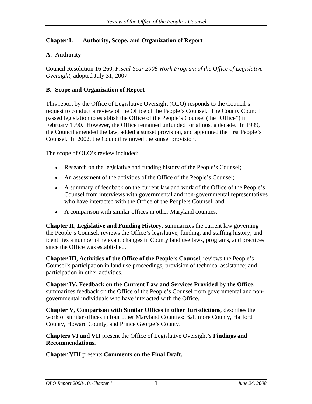# **Chapter I. Authority, Scope, and Organization of Report**

# **A. Authority**

Council Resolution 16-260, *Fiscal Year 2008 Work Program of the Office of Legislative Oversight,* adopted July 31, 2007.

# **B. Scope and Organization of Report**

This report by the Office of Legislative Oversight (OLO) responds to the Council's request to conduct a review of the Office of the People's Counsel. The County Council passed legislation to establish the Office of the People's Counsel (the "Office") in February 1990. However, the Office remained unfunded for almost a decade. In 1999, the Council amended the law, added a sunset provision, and appointed the first People's Counsel. In 2002, the Council removed the sunset provision.

The scope of OLO's review included:

- Research on the legislative and funding history of the People's Counsel;
- An assessment of the activities of the Office of the People's Counsel;
- A summary of feedback on the current law and work of the Office of the People s Counsel from interviews with governmental and non-governmental representatives who have interacted with the Office of the People's Counsel; and
- A comparison with similar offices in other Maryland counties.

**Chapter II, Legislative and Funding History**, summarizes the current law governing the People's Counsel; reviews the Office's legislative, funding, and staffing history; and identifies a number of relevant changes in County land use laws, programs, and practices since the Office was established.

**Chapter III, Activities of the Office of the People's Counsel, reviews the People's** Counsel's participation in land use proceedings; provision of technical assistance; and participation in other activities.

**Chapter IV, Feedback on the Current Law and Services Provided by the Office**, summarizes feedback on the Office of the People <sup>s</sup> Counsel from governmental and non governmental individuals who have interacted with the Office.

**Chapter V, Comparison with Similar Offices in other Jurisdictions**, describes the work of similar offices in four other Maryland Counties: Baltimore County, Harford County, Howard County, and Prince George's County.

**Chapters VI and VII** present the Office of Legislative Oversight's **Findings and Recommendations.**

**Chapter VIII** presents **Comments on the Final Draft.**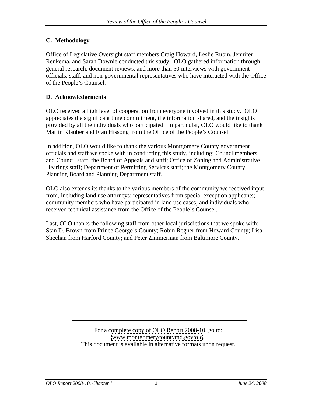# **C. Methodology**

Office of Legislative Oversight staff members Craig Howard, Leslie Rubin, Jennifer Renkema, and Sarah Downie conducted this study. OLO gathered information through general research, document reviews, and more than 50 interviews with government officials, staff, and non-governmental representatives who have interacted with the Office of the People's Counsel.

#### **D. Acknowledgements**

OLO received a high level of cooperation from everyone involved in this study. OLO appreciates the significant time commitment, the information shared, and the insights provided by all the individuals who participated. In particular, OLO would like to thank Martin Klauber and Fran Hissong from the Office of the People's Counsel.

In addition, OLO would like to thank the various Montgomery County government officials and staff we spoke with in conducting this study, including: Councilmembers and Council staff; the Board of Appeals and staff; Office of Zoning and Administrative Hearings staff; Department of Permitting Services staff; the Montgomery County Planning Board and Planning Department staff.

OLO also extends its thanks to the various members of the community we received input from, including land use attorneys; representatives from special exception applicants; community members who have participated in land use cases; and individuals who received technical assistance from the Office of the People's Counsel.

Last, OLO thanks the following staff from other local jurisdictions that we spoke with: Stan D. Brown from Prince George's County; Robin Regner from Howard County; Lisa Sheehan from Harford County; and Peter Zimmerman from Baltimore County.

> For a complete copy of OLO Report 2008-10, go to: [www.montgomerycountymd.gov/olo](http://www.montgomerycountymd.gov/olo). This document is available in alternative formats upon request.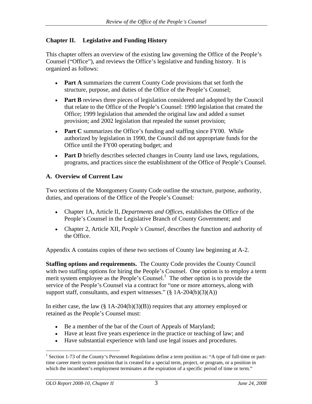# **Chapter II. Legislative and Funding History**

This chapter offers an overview of the existing law governing the Office of the People's Counsel ("Office"), and reviews the Office's legislative and funding history. It is organized as follows:

- Part A summarizes the current County Code provisions that set forth the structure, purpose, and duties of the Office of the People's Counsel:
- **Part B** reviews three pieces of legislation considered and adopted by the Council that relate to the Office of the People's Counsel: 1990 legislation that created the Office; 1999 legislation that amended the original law and added a sunset provision; and 2002 legislation that repealed the sunset provision;
- Part C summarizes the Office's funding and staffing since FY00. While authorized by legislation in 1990, the Council did not appropriate funds for the Office until the FY00 operating budget; and
- Part D briefly describes selected changes in County land use laws, regulations, programs, and practices since the establishment of the Office of People's Counsel.

## **A. Overview of Current Law**

Two sections of the Montgomery County Code outline the structure, purpose, authority, duties, and operations of the Office of the People's Counsel:

- Chapter 1A, Article II, *Departments and Offices*, establishes the Office of the People's Counsel in the Legislative Branch of County Government; and
- Chapter 2, Article XII, *People s Counsel*, describes the function and authority of the Office.

Appendix A contains copies of these two sections of County law beginning at A-2.

**Staffing options and requirements.** The County Code provides the County Council with two staffing options for hiring the People's Counsel. One option is to employ a term merit system employee as the People's Counsel.<sup>1</sup> The other option is to provide the service of the People's Counsel via a contract for "one or more attorneys, along with support staff, consultants, and expert witnesses."  $(\S$  1A-204(b)(3)(A))

In either case, the law  $(\S$  1A-204(b)(3)(B)) requires that any attorney employed or retained as the People's Counsel must:

- Be a member of the bar of the Court of Appeals of Maryland;
- Have at least five years experience in the practice or teaching of law; and
- Have substantial experience with land use legal issues and procedures.

<sup>&</sup>lt;sup>1</sup> Section 1-73 of the County's Personnel Regulations define a term position as: "A type of full-time or parttime career merit system position that is created for a special term, project, or program, or a position in which the incumbent's employment terminates at the expiration of a specific period of time or term."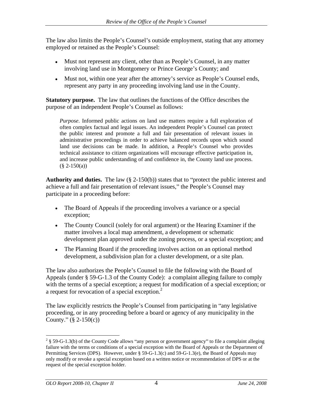The law also limits the People's Counsel's outside employment, stating that any attorney employed or retained as the People's Counsel:

- Must not represent any client, other than as People's Counsel, in any matter involving land use in Montgomery or Prince George's County; and
- Must not, within one year after the attorney's service as People's Counsel ends, represent any party in any proceeding involving land use in the County.

**Statutory purpose.** The law that outlines the functions of the Office describes the purpose of an independent People's Counsel as follows:

*Purpose*. Informed public actions on land use matters require a full exploration of often complex factual and legal issues. An independent People's Counsel can protect the public interest and promote a full and fair presentation of relevant issues in administrative proceedings in order to achieve balanced records upon which sound land use decisions can be made. In addition, a People's Counsel who provides technical assistance to citizen organizations will encourage effective participation in, and increase public understanding of and confidence in, theCounty land use process.  $(\S 2-150(a))$ 

**Authority and duties.** The law  $(\S 2{\text -}150(b))$  states that to "protect the public interest and achieve a full and fair presentation of relevant issues," the People's Counsel may participate in a proceeding before:

- The Board of Appeals if the proceeding involves a variance or a special exception; example of the set of the set of the set of the set of the set of the set of the set of the set of the set of the set of the set of the set of the set of the set of the set of the set of the set of the set of th
- The County Council (solely for oral argument) or the Hearing Examiner if the  $\bullet$ matter involves a local map amendment, a development or schematic development plan approved under the zoning process, or a special exception; and
- The Planning Board if the proceeding involves action on an optional method development, a subdivision plan for a cluster development, or a site plan.

The law also authorizes the People's Counsel to file the following with the Board of Appeals (under § 59-G-1.3 of the County Code): a complaint alleging failure to comply with the terms of a special exception; a request for modification of a special exception; or a request for revocation of a special exception.<sup>2</sup>

The law explicitly restricts the People's Counsel from participating in "any legislative" proceeding, or in any proceeding before a board or agency of any municipality in the County."  $(\S 2-150(c))$ 

 $\frac{2}{8}$  59-G-1.3(b) of the County Code allows "any person or government agency" to file a complaint alleging failure with the terms or conditions of a special exception with the Board of Appeals or the Department of Permitting Services (DPS). However, under § 59-G-1.3(c) and 59-G-1.3(e), the Board of Appeals may only modify or revoke a special exception based on a written notice or recommendation of DPS or at the request of the special exception holder.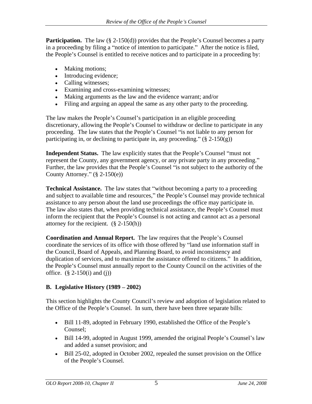**Participation.** The law  $(\S 2-150(d))$  provides that the People's Counsel becomes a party in a proceeding by filing a "notice of intention to participate." After the notice is filed, the People's Counsel is entitled to receive notices and to participate in a proceeding by:

- Making motions:
- Introducing evidence;
- Calling witnesses;
- Examining and cross-examining witnesses;
- Making arguments as the law and the evidence warrant; and/or
- Filing and arguing an appeal the same as any other party to the proceeding.

The law makes the People's Counsel's participation in an eligible proceeding discretionary, allowing the People's Counsel to withdraw or decline to participate in any proceeding. The law states that the People's Counsel "is not liable to any person for participating in, or declining to participate in, any proceeding."  $(\S 2-150(g))$ 

**Independent Status.** The law explicitly states that the People's Counsel "must not represent the County, any government agency, or any private party in any proceeding." Further, the law provides that the People's Counsel "is not subject to the authority of the County Attorney."  $(\S 2-150(e))$ 

**Technical Assistance.** The law states that "without becoming a party to a proceeding and subject to available time and resources," the People's Counsel may provide technical assistance to any person about the land use proceedings the office may participate in. The law also states that, when providing technical assistance, the People's Counsel must inform the recipient that the People's Counsel is not acting and cannot act as a personal attorney for the recipient. (§ 2-150(h))

**Coordination and Annual Report.** The law requires that the People's Counsel coordinate the services of its office with those offered by "land use information staff in the Council, Board of Appeals, and Planning Board, to avoid inconsistency and duplication of services, and to maximize the assistance offered to citizens." In addition, the People's Counsel must annually report to the County Council on the activities of the office.  $(\S 2 - 150(i)$  and (j))

# **B.** Legislative History (1989 – 2002)

This section highlights the County Council's review and adoption of legislation related to the Office of the People's Counsel. In sum, there have been three separate bills:

- Bill 11-89, adopted in February 1990, established the Office of the People's Counsel;
- Bill 14-99, adopted in August 1999, amended the original People's Counsel's law and added a sunset provision; and
- Bill 25-02, adopted in October 2002, repealed the sunset provision on the Office of the People's Counsel.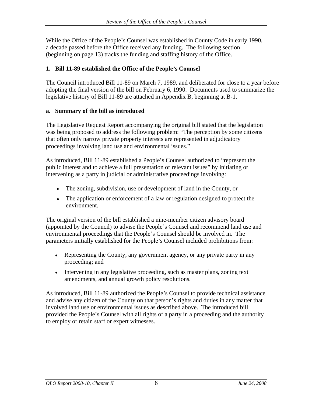While the Office of the People's Counsel was established in County Code in early 1990, a decade passed before the Office received any funding. The following section (beginning on page 13) tracks the funding and staffing history of the Office.

# **1. Bill 11-89** established the Office of the People's Counsel

The Council introduced Bill 11-89 on March 7, 1989, and deliberated for close to a year before adopting the final version of the bill on February 6, 1990. Documents used to summarize the legislative history of Bill 11-89 are attached in Appendix B, beginning at B-1.

#### **a. Summary of the bill as introduced**

The Legislative Request Report accompanying the original bill stated that the legislation was being proposed to address the following problem: "The perception by some citizens" that often only narrow private property interests are represented in adjudicatory proceedings involving land use and environmental issues.

As introduced, Bill 11-89 established a People's Counsel authorized to "represent the public interest and to achieve a full presentation of relevant issues" by initiating or intervening as a party in judicial or administrative proceedings involving:

- The zoning, subdivision, use or development of land in the County, or
- The application or enforcement of a law or regulation designed to protect the environment.

The original version of the bill established a nine-member citizen advisory board (appointed by the Council) to advise the People's Counsel and recommend land use and environmental proceedings that the People's Counsel should be involved in. The parameters initially established for the People's Counsel included prohibitions from:

- Representing the County, any government agency, or any private party in any proceeding; and  $\blacksquare$
- Intervening in any legislative proceeding, such as master plans, zoning text amendments, and annual growth policy resolutions.

As introduced, Bill 11-89 authorized the People s Counsel to provide technical assistance and advise any citizen of the County on that person's rights and duties in any matter that involved land use or environmental issues as described above. The introduced bill provided the People's Counsel with all rights of a party in a proceeding and the authority to employ or retain staff or expert witnesses.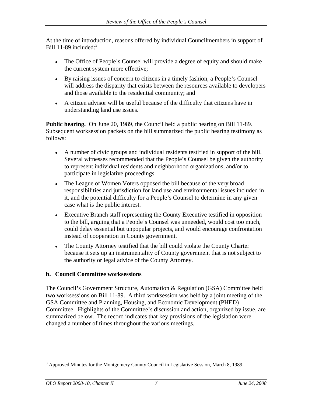At the time of introduction, reasons offered by individual Councilmembers in support of Bill 11-89 included:<sup>3</sup>

- The Office of People's Counsel will provide a degree of equity and should make the current system more effective;
- By raising issues of concern to citizens in a timely fashion, a People's Counsel will address the disparity that exists between the resources available to developers and those available to the residential community; and
- A citizen advisor will be useful because of the difficulty that citizens have in understanding land use issues.

**Public hearing.** On June 20, 1989, the Council held a public hearing on Bill 11-89. Subsequent worksession packets on the bill summarized the public hearing testimony as follows:

- A number of civic groups and individual residents testified in support of the bill. Several witnesses recommended that the People's Counsel be given the authority to represent individual residents and neighborhood organizations, and/or to participate in legislative proceedings.
- The League of Women Voters opposed the bill because of the very broad responsibilities and jurisdiction for land use and environmental issues included in it, and the potential difficulty for a People's Counsel to determine in any given case what is the public interest.
- Executive Branch staff representing the County Executive testified in opposition to the bill, arguing that a People's Counsel was unneeded, would cost too much, could delay essential but unpopular projects, and would encourage confrontation instead of cooperation in County government.
- The County Attorney testified that the bill could violate the County Charter because it sets up an instrumentality of County government that is not subject to the authority or legal advice of the County Attorney.

# **b. Council Committee worksessions**

The Council's Government Structure, Automation & Regulation (GSA) Committee held two worksessions on Bill 11-89. A third worksession was held by a joint meeting of the GSA Committee and Planning, Housing, and Economic Development (PHED) Committee. Highlights of the Committee's discussion and action, organized by issue, are summarized below. The record indicates that key provisions of the legislation were changed a number of times throughout the various meetings.

<sup>&</sup>lt;sup>3</sup> Approved Minutes for the Montgomery County Council in Legislative Session, March 8, 1989.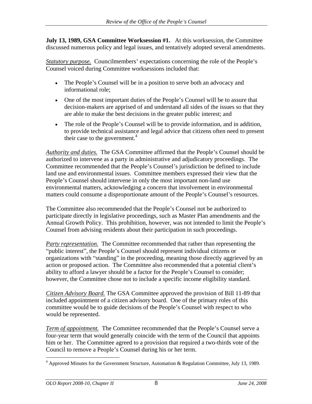**July 13, 1989, GSA Committee Worksession #1.** At this worksession, the Committee discussed numerous policy and legal issues, and tentatively adopted several amendments.

*Statutory purpose.* Councilmembers' expectations concerning the role of the People's Counsel voiced during Committee worksessions included that:

- The People's Counsel will be in a position to serve both an advocacy and informational role;
- One of the most important duties of the People's Counsel will be to assure that decision-makers are apprised of and understand all sides of the issues so that they are able to make the best decisions in the greater public interest; and
- The role of the People's Counsel will be to provide information, and in addition, to provide technical assistance and legal advice that citizens often need to present their case to the government.<sup>4</sup>

*Authority and duties.* The GSA Committee affirmed that the People's Counsel should be authorized to intervene as a party in administrative and adjudicatory proceedings. The Committee recommended that the People's Counsel's jurisdiction be defined to include land use and environmental issues. Committee members expressed their view that the People's Counsel should intervene in only the most important non-land use environmental matters, acknowledging a concern that involvement in environmental matters could consume a disproportionate amount of the People's Counsel's resources.

The Committee also recommended that the People's Counsel not be authorized to participate directly in legislative proceedings, such as Master Plan amendments and the Annual Growth Policy. This prohibition, however, was not intended to limit the People's Counsel from advising residents about their participation in such proceedings.

*Party representation.* The Committee recommended that rather than representing the "public interest", the People's Counsel should represent individual citizens or organizations with "standing" in the proceeding, meaning those directly aggrieved by an action or proposed action. The Committee also recommended that a potential client's ability to afford a lawyer should be a factor for the People's Counsel to consider; however, the Committee chose not to include a specific income eligibility standard.

*Citizen Advisory Board.* The GSA Committee approved the provision of Bill 11-89 that included appointment of a citizen advisory board. One of the primary roles of this committee would be to guide decisions of the People's Counsel with respect to who would be represented.

*Term of appointment.* The Committee recommended that the People's Counsel serve a four-year term that would generally coincide with the term of the Council that appoints him or her. The Committee agreed to a provision that required a two-thirds vote of the Council to remove a People's Counsel during his or her term.

 <sup>4</sup> Approved Minutes for the Government Structure, Automation & Regulation Committee, July 13, 1989.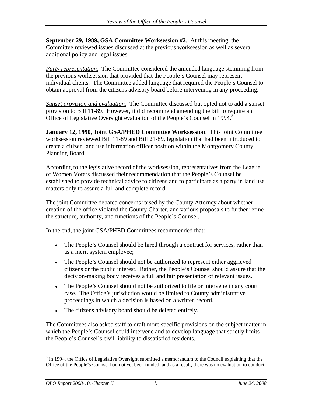**September 29, 1989, GSA Committee Worksession #2**. At this meeting, the Committee reviewed issues discussed at the previous worksession as well as several additional policy and legal issues.

*Party representation.* The Committee considered the amended language stemming from the previous worksession that provided that the People's Counsel may represent individual clients. The Committee added language that required the People's Counsel to obtain approval from the citizens advisory board before intervening in any proceeding.

*Sunset provision and evaluation.* The Committee discussed but opted not to add a sunset provision to Bill 11-89. However, it did recommend amending the bill to require an Office of Legislative Oversight evaluation of the People's Counsel in 1994.<sup>5</sup>

**January 12, 1990, Joint GSA/PHED Committee Worksession**. This joint Committee worksession reviewed Bill 11-89 and Bill 21-89, legislation that had been introduced to create a citizen land use information officer position within the Montgomery County Planning Board.

According to the legislative record of the worksession, representatives from the League of Women Voters discussed their recommendation that the People's Counsel be established to provide technical advice to citizens and to participate as a party in land use matters only to assure a full and complete record.

The joint Committee debated concerns raised by the County Attorney about whether creation of the office violated the County Charter, and various proposals to further refine the structure, authority, and functions of the People's Counsel.

In the end, the joint GSA/PHED Committees recommended that:

- The People's Counsel should be hired through a contract for services, rather than as a merit system employee;
- The People's Counsel should not be authorized to represent either aggrieved citizens or the public interest. Rather, the People's Counsel should assure that the decision-making body receives a full and fair presentation of relevant issues.
- The People's Counsel should not be authorized to file or intervene in any court case. The Office's jurisdiction would be limited to County administrative proceedings in which a decision is based on a written record.
- $\bullet$ The citizens advisory board should be deleted entirely.

The Committees also asked staff to draft more specific provisions on the subject matter in which the People's Counsel could intervene and to develop language that strictly limits the People's Counsel's civil liability to dissatisfied residents.

<sup>&</sup>lt;sup>5</sup> In 1994, the Office of Legislative Oversight submitted a memorandum to the Council explaining that the Office of the People's Counsel had not yet been funded, and as a result, there was no evaluation to conduct.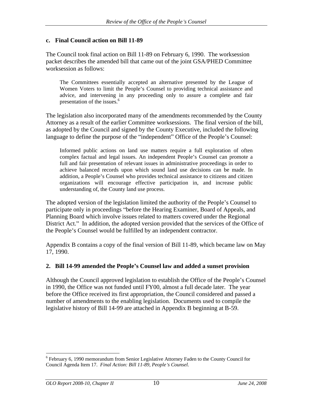#### **c. Final Council action on Bill 11-89**

The Council took final action on Bill 11-89 on February 6, 1990. The worksession packet describes the amended bill that came out of the joint GSA/PHED Committee worksession as follows:

The Committees essentially accepted an alternative presented by the League of Women Voters to limit the People's Counsel to providing technical assistance and advice, and intervening in any proceeding only to assure a complete and fair presentation of the issues. $6 \text{ m}$ 

The legislation also incorporated many of the amendments recommended by the County Attorney as a result of the earlier Committee worksessions. The final version of the bill, as adopted by the Council and signed by the County Executive, included the following language to define the purpose of the "independent" Office of the People's Counsel:

Informed public actions on land use matters require a full exploration of often complex factual and legal issues. An independent People s Counsel can promote a full and fair presentation of relevant issues in administrative proceedings in order to achieve balanced records upon which sound land use decisions can be made. In addition, a People's Counsel who provides technical assistance to citizens and citizen organizations will encourage effective participation in, and increase public understanding of, the County land use process.

The adopted version of the legislation limited the authority of the People's Counsel to participate only in proceedings "before the Hearing Examiner, Board of Appeals, and Planning Board which involve issues related to matters covered under the Regional District Act." In addition, the adopted version provided that the services of the Office of the People's Counsel would be fulfilled by an independent contractor.

Appendix B contains a copy of the final version of Bill 11-89, which became law on May 17, 1990.

#### **2. Bill 14-99 amended the People s Counsel law and added a sunset provision**

Although the Council approved legislation to establish the Office of the People's Counsel in 1990, the Office was not funded until FY00, almost a full decade later. The year before the Office received its first appropriation, the Council considered and passed a number of amendments to the enabling legislation. Documents used to compile the legislative history of Bill 14-99 are attached in Appendix B beginning at B-59.

 <sup>6</sup> February 6, 1990 memorandum from Senior Legislative Attorney Faden to the County Council for Council Agenda Item 17. *Final Action: Bill 11-89, People s Counsel*.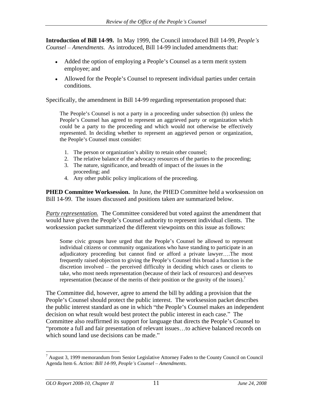**Introduction of Bill 14-99.** In May 1999, the Council introduced Bill 14-99, *People s Counsel Amendments*. As introduced, Bill 14-99 included amendments that:

- Added the option of employing a People's Counsel as a term merit system employee; and
- Allowed for the People's Counsel to represent individual parties under certain conditions.

Specifically, the amendment in Bill 14-99 regarding representation proposed that:

The People's Counsel is not a party in a proceeding under subsection (b) unless the People's Counsel has agreed to represent an aggrieved party or organization which could be a party to the proceeding and which would not otherwise be effectively represented. In deciding whether to represent an aggrieved person or organization, the People's Counsel must consider:

- 1. The person or organization's ability to retain other counsel;
- 2. The relative balance of the advocacy resources of the parties to the proceeding;
- 3. The nature, significance, and breadth of impact of the issues in the proceeding; and  $\blacksquare$
- 4. Any other public policy implications of the proceeding.

**PHED Committee Worksession.** In June, the PHED Committee held a worksession on Bill 14-99. The issues discussed and positions taken are summarized below.

*Party representation.* The Committee considered but voted against the amendment that would have given the People's Counsel authority to represent individual clients. The worksession packet summarized the different viewpoints on this issue as follows:

Some civic groups have urged that the People's Counsel be allowed to represent individual citizens or community organizations who have standing to participate in an adjudicatory proceeding but cannot find or afford a private lawyer....The most frequently raised objection to giving the People s Counsel this broad a function is the discretion involved  $-$  the perceived difficulty in deciding which cases or clients to take, who most needs representation (because of their lack of resources) and deserves representation (because of the merits of their position or the gravity of the issues).<sup>7</sup>

The Committee did, however, agree to amend the bill by adding a provision that the People's Counsel should protect the public interest. The worksession packet describes the public interest standard as one in which "the People's Counsel makes an independent decision on what result would best protect the public interest in each case." The Committee also reaffirmed its support for language that directs the People's Counsel to "promote a full and fair presentation of relevant issues...to achieve balanced records on which sound land use decisions can be made."

<sup>&</sup>lt;sup>7</sup> August 3, 1999 memorandum from Senior Legislative Attorney Faden to the County Council on Council Agenda Item 6. *Action: Bill 14-99, People s Counsel Amendments*.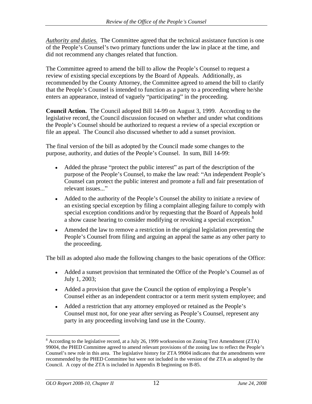*Authority and duties.* The Committee agreed that the technical assistance function is one of the People's Counsel's two primary functions under the law in place at the time, and did not recommend any changes related that function.

The Committee agreed to amend the bill to allow the People's Counsel to request a review of existing special exceptions by the Board of Appeals. Additionally, as recommended by the County Attorney, the Committee agreed to amend the bill to clarify that the People's Counsel is intended to function as a party to a proceeding where he/she enters an appearance, instead of vaguely "participating" in the proceeding.

**Council Action.** The Council adopted Bill 14-99 on August 3, 1999. According to the legislative record, the Council discussion focused on whether and under what conditions the People's Counsel should be authorized to request a review of a special exception or file an appeal. The Council also discussed whether to add a sunset provision.

The final version of the bill as adopted by the Council made some changes to the purpose, authority, and duties of the People's Counsel. In sum, Bill 14-99:

- Added the phrase "protect the public interest" as part of the description of the purpose of the People's Counsel, to make the law read: "An independent People's Counsel can protect the public interest and promote a full and fair presentation of relevant issues...
- Added to the authority of the People's Counsel the ability to initiate a review of an existing special exception by filing a complaint alleging failure to comply with special exception conditions and/or by requesting that the Board of Appeals hold a show cause hearing to consider modifying or revoking a special exception.<sup>8</sup>
- Amended the law to remove a restriction in the original legislation preventing the People's Counsel from filing and arguing an appeal the same as any other party to the proceeding.

The bill as adopted also made the following changes to the basic operations of the Office:

- Added a sunset provision that terminated the Office of the People's Counsel as of July 1, 2003;
- Added a provision that gave the Council the option of employing a People's Counsel either as an independent contractor or a term merit system employee; and
- Added a restriction that any attorney employed or retained as the People's Counsel must not, for one year after serving as People's Counsel, represent any party in any proceeding involving land use in the County.

<sup>&</sup>lt;sup>8</sup> According to the legislative record, at a July 26, 1999 worksession on Zoning Text Amendment (ZTA) 99004, the PHED Committee agreed to amend relevant provisions of the zoning law to reflect the People's Counsel's new role in this area. The legislative history for ZTA 99004 indicates that the amendments were recommended by the PHED Committee but were not included in the version of the ZTA as adopted by the Council. A copy of the ZTA is included in Appendix B beginning on B-85.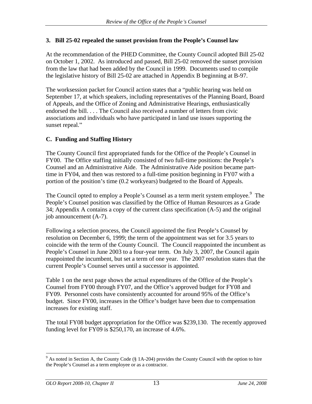## **3. Bill 25-02 repealed the sunset provision from the People s Counsel law**

At the recommendation of the PHED Committee, the County Council adopted Bill 25-02 on October 1, 2002. As introduced and passed, Bill 25-02 removed the sunset provision from the law that had been added by the Council in 1999. Documents used to compile the legislative history of Bill 25-02 are attached in Appendix B beginning at B-97.

The worksession packet for Council action states that a "public hearing was held on September 17, at which speakers, including representatives of the Planning Board, Board of Appeals, and the Office of Zoning and Administrative Hearings, enthusiastically endorsed the bill. . . . The Council also received a number of letters from civic associations and individuals who have participated in land use issues supporting the sunset repeal."

## **C. Funding and Staffing History**

The County Council first appropriated funds for the Office of the People's Counsel in FY00. The Office staffing initially consisted of two full-time positions: the People's Counsel and an Administrative Aide. The Administrative Aide position became parttime in FY04, and then was restored to a full-time position beginning in FY07 with a portion of the position's time (0.2 workyears) budgeted to the Board of Appeals.

The Council opted to employ a People's Counsel as a term merit system employee.<sup>9</sup> The The state of  $\mathbb{R}^n$ People's Counsel position was classified by the Office of Human Resources as a Grade 34; Appendix A contains a copy of the current class specification (A-5) and the original job announcement (A-7).

Following a selection process, the Council appointed the first People's Counsel by resolution on December 6, 1999; the term of the appointment was set for 3.5 years to coincide with the term of the County Council. The Council reappointed the incumbent as People's Counsel in June 2003 to a four-year term. On July 3, 2007, the Council again reappointed the incumbent, but set a term of one year. The 2007 resolution states that the current People's Counsel serves until a successor is appointed.

Table 1 on the next page shows the actual expenditures of the Office of the People's Counsel from FY00 through FY07, and the Office's approved budget for FY08 and FY09. Personnel costs have consistently accounted for around 95% of the Office's budget. Since FY00, increases in the Office's budget have been due to compensation increases for existing staff.

The total FY08 budget appropriation for the Office was \$239,130. The recently approved funding level for FY09 is \$250,170, an increase of 4.6%.

<sup>&</sup>lt;sup>9</sup> As noted in Section A, the County Code (§ 1A-204) provides the County Council with the option to hire the People's Counsel as a term employee or as a contractor.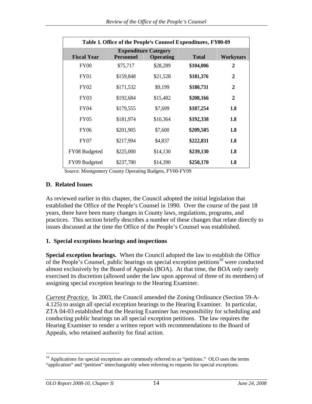| Table 1. Office of the People's Counsel Expenditures, FY00-09 |                             |                  |              |                |
|---------------------------------------------------------------|-----------------------------|------------------|--------------|----------------|
|                                                               | <b>Expenditure Category</b> |                  |              |                |
| <b>Fiscal Year</b>                                            | Personnel                   | <b>Operating</b> | <b>Total</b> | Workyears      |
| FY00                                                          | \$75,717                    | \$28,289         | \$104,006    | $\overline{2}$ |
| <b>FY01</b>                                                   | \$159,848                   | \$21,528         | \$181,376    | $\overline{2}$ |
| <b>FY02</b>                                                   | \$171,532                   | \$9,199          | \$180,731    | $\overline{2}$ |
| FY03                                                          | \$192,684                   | \$15,482         | \$208,166    | $\overline{2}$ |
| FY04                                                          | \$179,555                   | \$7,699          | \$187,254    | 1.8            |
| <b>FY05</b>                                                   | \$181,974                   | \$10,364         | \$192,338    | 1.8            |
| <b>FY06</b>                                                   | \$201,905                   | \$7,600          | \$209,505    | 1.8            |
| <b>FY07</b>                                                   | \$217,994                   | \$4,837          | \$222,831    | 1.8            |
| FY08 Budgeted                                                 | \$225,000                   | \$14,130         | \$239,130    | 1.8            |
| FY09 Budgeted                                                 | \$237,780                   | \$14,390         | \$250,170    | 1.8            |

Source: Montgomery County Operating Budgets, FY00-FY09

# **D. Related Issues**

As reviewed earlier in this chapter, the Council adopted the initial legislation that established the Office of the People's Counsel in 1990. Over the course of the past 18 years, there have been many changes in County laws, regulations, programs, and practices. This section briefly describes a number of these changes that relate directly to issues discussed at the time the Office of the People's Counsel was established.

# **1. Special exceptions hearings and inspections**

**Special exception hearings.** When the Council adopted the law to establish the Office of the People's Counsel, public hearings on special exception petitions<sup>10</sup> were conducted almost exclusively by the Board of Appeals (BOA). At that time, the BOA only rarely exercised its discretion (allowed under the law upon approval of three of its members) of assigning special exception hearings to the Hearing Examiner.

*Current Practice.* In 2003, the Council amended the Zoning Ordinance (Section 59-A- 4.125) to assign all special exception hearings to the Hearing Examiner. In particular, ZTA 04-03 established that the Hearing Examiner has responsibility for scheduling and conducting public hearings on all special exception petitions. The law requires the Hearing Examiner to render a written report with recommendations to the Board of Appeals, who retained authority for final action.

 $10$  Applications for special exceptions are commonly referred to as "petitions." OLO uses the terms "application" and "petition" interchangeably when referring to requests for special exceptions.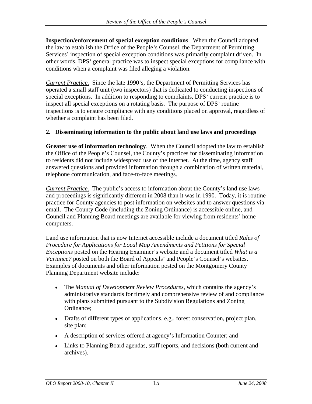**Inspection/enforcement of special exception conditions**. When the Council adopted the law to establish the Office of the People's Counsel, the Department of Permitting Services' inspection of special exception conditions was primarily complaint driven. In other words, DPS' general practice was to inspect special exceptions for compliance with conditions when a complaint was filed alleging a violation.

*Current Practice.* Since the late 1990's, the Department of Permitting Services has operated a small staff unit (two inspectors) that is dedicated to conducting inspections of special exceptions. In addition to responding to complaints, DPS' current practice is to inspect all special exceptions on a rotating basis. The purpose of DPS routine inspections is to ensure compliance with any conditions placed on approval, regardless of whether a complaint has been filed.

## **2. Disseminating information to the public about land use laws and proceedings**

**Greater use of information technology**. When the Council adopted the law to establish the Office of the People's Counsel, the County's practices for disseminating information to residents did not include widespread use of the Internet. At the time, agency staff answered questions and provided information through a combination of written material, telephone communication, and face-to-face meetings.

*Current Practice.* The public's access to information about the County's land use laws and proceedings is significantly different in 2008 than it was in 1990. Today, it is routine practice for County agencies to post information on websites and to answer questions via email. The County Code (including the Zoning Ordinance) is accessible online, and Council and Planning Board meetings are available for viewing from residents' home computers.

Land use information that is now Internet accessible include a document titled *Rules of Procedure for Applications for Local Map Amendments and Petitions for Special Exceptions* posted on the Hearing Examiner's website and a document titled *What is a Variance?* posted on both the Board of Appeals' and People's Counsel's websites. Examples of documents and other information posted on the Montgomery County Planning Department website include:

- $\bullet$ The *Manual of Development Review Procedures*, which contains the agency s administrative standards for timely and comprehensive review of and compliance with plans submitted pursuant to the Subdivision Regulations and Zoning Ordinance;
- Drafts of different types of applications, e.g., forest conservation, project plan, site plan;
- A description of services offered at agency's Information Counter; and
- Links to Planning Board agendas, staff reports, and decisions (both current and archives).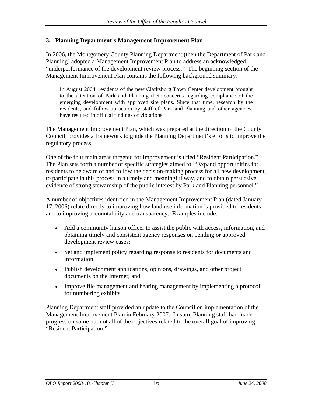## **3. Planning Department s Management Improvement Plan**

In 2006, the Montgomery County Planning Department (then the Department of Park and Planning) adopted a Management Improvement Plan to address an acknowledged underperformance of the development review process. The beginning section of the Management Improvement Plan contains the following background summary:

In August 2004, residents of the new Clarksburg Town Center development brought to the attention of Park and Planning their concerns regarding compliance of the emerging development with approved site plans. Since that time, research by the residents, and follow-up action by staff of Park and Planning and other agencies, have resulted in official findings of violations.

The Management Improvement Plan, which was prepared at the direction of the County Council, provides a framework to guide the Planning Department's efforts to improve the regulatory process.

One of the four main areas targeted for improvement is titled "Resident Participation." The Plan sets forth a number of specific strategies aimed to: "Expand opportunities for residents to be aware of and follow the decision-making process for all new development, to participate in this process in a timely and meaningful way, and to obtain persuasive evidence of strong stewardship of the public interest by Park and Planning personnel."

A number of objectives identified in the Management Improvement Plan (dated January 17, 2006) relate directly to improving how land use information is provided to residents and to improving accountability and transparency. Examples include:

- Add a community liaison officer to assist the public with access, information, and obtaining timely and consistent agency responses on pending or approved development review cases;
- Set and implement policy regarding response to residents for documents and information;
- Publish development applications, opinions, drawings, and other project documents on the Internet; and
- Improve file management and hearing management by implementing a protocol for numbering exhibits.

Planning Department staff provided an update to the Council on implementation of the Management Improvement Plan in February 2007. In sum, Planning staff had made progress on some but not all of the objectives related to the overall goal of improving "Resident Participation."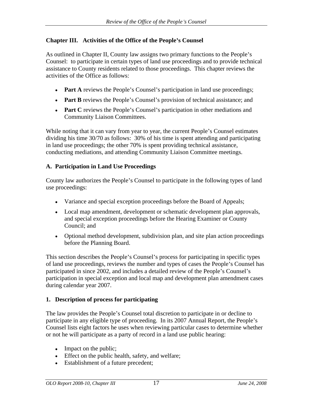# **Chapter III. Activities of the Office of the People s Counsel**

As outlined in Chapter II, County law assigns two primary functions to the People's Counsel: to participate in certain types of land use proceedings and to provide technical assistance to County residents related to those proceedings. This chapter reviews the activities of the Office as follows:

- Part A reviews the People's Counsel's participation in land use proceedings;
- Part B reviews the People's Counsel's provision of technical assistance; and
- Part C reviews the People's Counsel's participation in other mediations and Community Liaison Committees.

While noting that it can vary from year to year, the current People's Counsel estimates dividing his time 30/70 as follows: 30% of his time is spent attending and participating in land use proceedings; the other 70% is spent providing technical assistance, conducting mediations, and attending Community Liaison Committee meetings.

## **A. Participation in Land Use Proceedings**

County law authorizes the People's Counsel to participate in the following types of land use proceedings:

- Variance and special exception proceedings before the Board of Appeals;
- Local map amendment, development or schematic development plan approvals, and special exception proceedings before the Hearing Examiner or County Council; and
- Optional method development, subdivision plan, and site plan action proceedings before the Planning Board.

This section describes the People's Counsel's process for participating in specific types of land use proceedings, reviews the number and types of cases the People's Counsel has participated in since 2002, and includes a detailed review of the People's Counsel's participation in special exception and local map and development plan amendment cases during calendar year 2007.

# **1. Description of process for participating**

The law provides the People's Counsel total discretion to participate in or decline to participate in any eligible type of proceeding. In its 2007 Annual Report, the People's Counsel lists eight factors he uses when reviewing particular cases to determine whether or not he will participate as a party of record in a land use public hearing:

- Impact on the public;
- Effect on the public health, safety, and welfare;
- Establishment of a future precedent;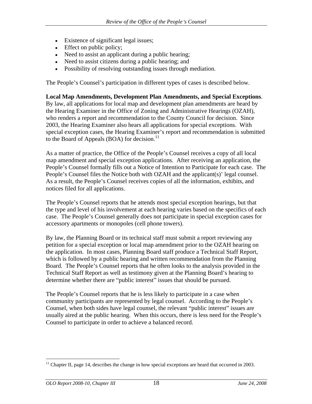- Existence of significant legal issues;
- Effect on public policy;
- Need to assist an applicant during a public hearing;
- Need to assist citizens during a public hearing; and
- Possibility of resolving outstanding issues through mediation.

The People's Counsel's participation in different types of cases is described below.

**Local Map Amendments, Development Plan Amendments, and Special Exceptions**. By law, all applications for local map and development plan amendments are heard by the Hearing Examiner in the Office of Zoning and Administrative Hearings (OZAH), who renders a report and recommendation to the County Council for decision. Since 2003, the Hearing Examiner also hears all applications for special exceptions. With special exception cases, the Hearing Examiner's report and recommendation is submitted to the Board of Appeals (BOA) for decision.<sup>11</sup>

As a matter of practice, the Office of the People's Counsel receives a copy of all local map amendment and special exception applications. After receiving an application, the People's Counsel formally fills out a Notice of Intention to Participate for each case. The People's Counsel files the Notice both with OZAH and the applicant(s)' legal counsel. As a result, the People's Counsel receives copies of all the information, exhibits, and notices filed for all applications.

The People's Counsel reports that he attends most special exception hearings, but that the type and level of his involvement at each hearing varies based on the specifics of each case. The People's Counsel generally does not participate in special exception cases for accessory apartments or monopoles (cell phone towers).

By law, the Planning Board or its technical staff must submit a report reviewing any petition for a special exception or local map amendment prior to the OZAH hearing on the application. In most cases, Planning Board staff produce a Technical Staff Report, which is followed by a public hearing and written recommendation from the Planning Board. The People's Counsel reports that he often looks to the analysis provided in the Technical Staff Report as well as testimony given at the Planning Board's hearing to determine whether there are "public interest" issues that should be pursued.

The People's Counsel reports that he is less likely to participate in a case when community participants are represented by legal counsel. According to the People's Counsel, when both sides have legal counsel, the relevant "public interest" issues are usually aired at the public hearing. When this occurs, there is less need for the People's Counsel to participate in order to achieve a balanced record.

 $11$  Chapter II, page 14, describes the change in how special exceptions are heard that occurred in 2003.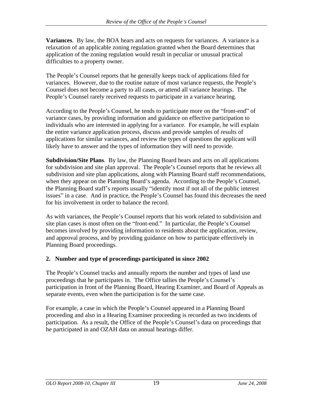**Variances**. By law, the BOA hears and acts on requests for variances. A variance is a relaxation of an applicable zoning regulation granted when the Board determines that application of the zoning regulation would result in peculiar or unusual practical difficulties to a property owner.

The People's Counsel reports that he generally keeps track of applications filed for variances. However, due to the routine nature of most variance requests, the People's Counsel does not become a party to all cases, or attend all variance hearings. The People's Counsel rarely received requests to participate in a variance hearing.

According to the People's Counsel, he tends to participate more on the "front-end" of variance cases, by providing information and guidance on effective participation to individuals who are interested in applying for a variance. For example, he will explain the entire variance application process, discuss and provide samples of results of applications for similar variances, and review the types of questions the applicant will likely have to answer and the types of information they will need to provide.

**Subdivision/Site Plans**. By law, the Planning Board hears and acts on all applications for subdivision and site plan approval. The People's Counsel reports that he reviews all subdivision and site plan applications, along with Planning Board staff recommendations, when they appear on the Planning Board's agenda. According to the People's Counsel, the Planning Board staff's reports usually "identify most if not all of the public interest issues" in a case. And in practice, the People's Counsel has found this decreases the need for his involvement in order to balance the record.

As with variances, the People's Counsel reports that his work related to subdivision and site plan cases is most often on the "front-end." In particular, the People's Counsel becomes involved by providing information to residents about the application, review, and approval process, and by providing guidance on how to participate effectively in Planning Board proceedings.

# **2. Number and type of proceedings participated in since 2002**

The People's Counsel tracks and annually reports the number and types of land use proceedings that he participates in. The Office tallies the People's Counsel's participation in front of the Planning Board, Hearing Examiner, and Board of Appeals as separate events, even when the participation is for the same case.

For example, a case in which the People's Counsel appeared in a Planning Board proceeding and also in a Hearing Examiner proceeding is recorded as two incidents of participation. As a result, the Office of the People's Counsel's data on proceedings that he participated in and OZAH data on annual hearings differ.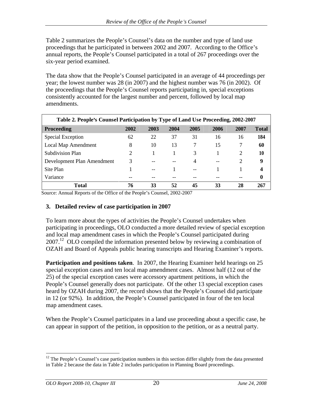Table 2 summarizes the People's Counsel's data on the number and type of land use proceedings that he participated in between 2002 and 2007. According to the Office's annual reports, the People's Counsel participated in a total of 267 proceedings over the six-year period examined.

The data show that the People's Counsel participated in an average of 44 proceedings per year; the lowest number was 28 (in 2007) and the highest number was 76 (in 2002). Of the proceedings that the People's Counsel reports participating in, special exceptions consistently accounted for the largest number and percent, followed by local map amendments.

| Table 2. People's Counsel Participation by Type of Land Use Proceeding, 2002-2007 |             |       |       |       |       |       |              |
|-----------------------------------------------------------------------------------|-------------|-------|-------|-------|-------|-------|--------------|
| Proceeding                                                                        | <b>2002</b> | 2003  | 2004  | 2005  | 2006  | 2007  | <b>Total</b> |
| Special Exception                                                                 |             |       |       |       | 16    | 16    | 184          |
| Local Map Amendment                                                               |             |       |       |       |       |       | 60           |
| Subdivision Plan                                                                  |             |       |       |       |       |       |              |
| Development Plan Amendment                                                        |             | $- -$ | $- -$ |       | $- -$ |       |              |
| Site Plan                                                                         |             | $- -$ |       | $- -$ |       |       |              |
| Variance                                                                          | $- -$       | $- -$ | $- -$ | $- -$ | $- -$ | $- -$ |              |
| <b>Total</b>                                                                      |             | 33    | Ε1    |       |       |       | 267          |

Source: Annual Reports of the Office of the People's Counsel, 2002-2007

#### **3. Detailed review of case participation in 2007**

To learn more about the types of activities the People's Counsel undertakes when participating in proceedings, OLO conducted a more detailed review of special exception and local map amendment cases in which the People's Counsel participated during 2007.<sup>12</sup> OLO compiled the information presented below by reviewing a combination of OZAH and Board of Appeals public hearing transcripts and Hearing Examiner's reports.

**Participation and positions taken**. In 2007, the Hearing Examiner held hearings on 25 special exception cases and ten local map amendment cases. Almost half (12 out of the 25) of the special exception cases were accessory apartment petitions, in which the People's Counsel generally does not participate. Of the other 13 special exception cases heard by OZAH during 2007, the record shows that the People's Counsel did participate in 12 (or 92%). In addition, the People's Counsel participated in four of the ten local map amendment cases.

When the People's Counsel participates in a land use proceeding about a specific case, he can appear in support of the petition, in opposition to the petition, or as a neutral party.

 $12$  The People's Counsel's case participation numbers in this section differ slightly from the data presented in Table 2 because the data in Table 2 includes participation in Planning Board proceedings.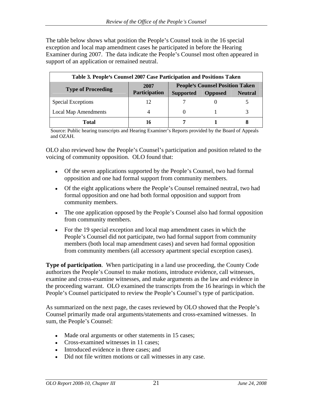The table below shows what position the People's Counsel took in the 16 special exception and local map amendment cases he participated in before the Hearing Examiner during 2007. The data indicate the People's Counsel most often appeared in support of an application or remained neutral.

| Table 3. People's Counsel 2007 Case Participation and Positions Taken |                                     |                                        |                |
|-----------------------------------------------------------------------|-------------------------------------|----------------------------------------|----------------|
| <b>Type of Proceeding</b>                                             | 2007                                | <b>People's Counsel Position Taken</b> |                |
|                                                                       | Participation   Supported   Opposed |                                        | <b>Neutral</b> |
| Special Exceptions                                                    | $\perp$                             |                                        |                |
| Local Map Amendments                                                  |                                     |                                        |                |
| <b>Total</b>                                                          | πo                                  |                                        |                |

Source: Public hearing transcripts and Hearing Examiner's Reports provided by the Board of Appeals and OZAH. and OZAH.

OLO also reviewed how the People's Counsel's participation and position related to the voicing of community opposition. OLO found that:

- Of the seven applications supported by the People's Counsel, two had formal  $\bullet$ opposition and one had formal support from community members.
- Of the eight applications where the People's Counsel remained neutral, two had formal opposition and one had both formal opposition and support from community members.
- The one application opposed by the People's Counsel also had formal opposition from community members.
- For the 19 special exception and local map amendment cases in which the People's Counsel did not participate, two had formal support from community members (both local map amendment cases) and seven had formal opposition from community members (all accessory apartment special exception cases).

**Type of participation**. When participating in a land use proceeding, the County Code authorizes the People's Counsel to make motions, introduce evidence, call witnesses, examine and cross-examine witnesses, and make arguments as the law and evidence in the proceeding warrant. OLO examined the transcripts from the 16 hearings in which the People's Counsel participated to review the People's Counsel's type of participation.

As summarized on the next page, the cases reviewed by OLO showed that the People's Counsel primarily made oral arguments/statements and cross-examined witnesses. In sum, the People's Counsel:

- Made oral arguments or other statements in 15 cases;
- Cross-examined witnesses in 11 cases:
- Introduced evidence in three cases; and
- Did not file written motions or call witnesses in any case.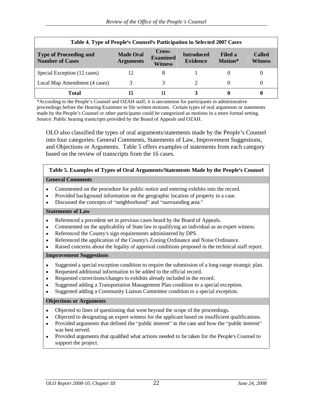| Table 4. Type of People's Counsel's Participation in Selected 2007 Cases |                                      |                                             |                               |                    |                          |
|--------------------------------------------------------------------------|--------------------------------------|---------------------------------------------|-------------------------------|--------------------|--------------------------|
| <b>Type of Proceeding and<br/>Number of Cases</b>                        | <b>Made Oral</b><br><b>Arguments</b> | Cross-<br><b>Examined</b><br><b>Witness</b> | <b>Introduced</b><br>Evidence | Filed a<br>Motion* | <b>Called</b><br>Witness |
| Special Exception (12 cases)                                             |                                      |                                             |                               |                    |                          |
| Local Map Amendment (4 cases)                                            |                                      |                                             |                               |                    |                          |
| <b>Total</b>                                                             |                                      |                                             |                               |                    |                          |

\*According to the People s Counsel and OZAH staff, it is uncommon for participants in administrative proceedings before the Hearing Examiner to file written motions. Certain types of oral arguments or statements made by the People's Counsel or other participants could be categorized as motions in a more formal setting. Source: Public hearing transcripts provided by the Board of Appeals and OZAH.

OLO also classified the types of oral arguments/statements made by the People s Counsel into four categories: General Comments, Statements of Law, Improvement Suggestions, and Objections or Arguments. Table 5 offers examples of statements from each category based on the review of transcripts from the 16 cases.

# **Table 5. Examples of Types of Oral Arguments/Statements Made by the People s Counsel General Comments**

- Commented on the procedure for public notice and entering exhibits into the record.
- Provided background information on the geographic location of property in a case.
- Discussed the concepts of "neighborhood" and "surrounding area."

#### **Statements of Law**

- Referenced a precedent set in previous cases heard by the Board of Appeals.  $\bullet$
- Commented on the applicability of State law to qualifying an individual as an expert witness.  $\bullet$
- Referenced the County's sign requirements administered by DPS.  $\bullet$
- Referenced the application of the County's Zoning Ordinance and Noise Ordinance.
- Raised concerns about the legality of approval conditions proposed in the technical staff report.

#### **Improvement Suggestions**

- Suggested a special exception condition to require the submission of a long-range strategic plan.
- Requested additional information to be added to the official record.
- Requested corrections/changes to exhibits already included in the record.  $\bullet$
- Suggested adding a Transportation Management Plan condition to a special exception.
- Suggested adding a Community Liaison Committee condition to a special exception.

#### **Objections or Arguments**

- Objected to lines of questioning that went beyond the scope of the proceedings.  $\bullet$
- Objected to designating an expert witness for the applicant based on insufficient qualifications.
- Provided arguments that defined the "public interest" in the case and how the "public interest" was best served.
- Provided arguments that qualified what actions needed to be taken for the People's Counsel to support the project.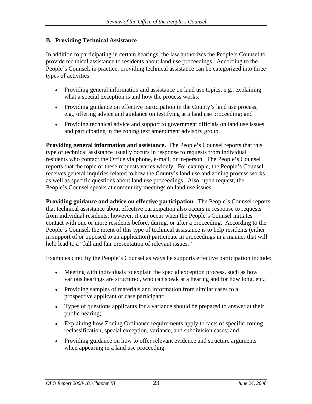# **B. Providing Technical Assistance**

In addition to participating in certain hearings, the law authorizes the People's Counsel to provide technical assistance to residents about land use proceedings. According to the People's Counsel, in practice, providing technical assistance can be categorized into three types of activities:

- Providing general information and assistance on land use topics, e.g., explaining what a special exception is and how the process works;
- Providing guidance on effective participation in the County's land use process, e.g., offering advice and guidance on testifying at a land use proceeding; and
- Providing technical advice and support to government officials on land use issues and participating in the zoning text amendment advisory group.

**Providing general information and assistance.** The People's Counsel reports that this type of technical assistance usually occurs in response to requests from individual residents who contact the Office via phone, e-mail, or in-person. The People's Counsel reports that the topic of these requests varies widely. For example, the People's Counsel receives general inquiries related to how the County's land use and zoning process works as well as specific questions about land use proceedings. Also, upon request, the People's Counsel speaks at community meetings on land use issues.

**Providing guidance and advice on effective participation.** The People's Counsel reports that technical assistance about effective participation also occurs in response to requests from individual residents; however, it can occur when the People's Counsel initiates contact with one or more residents before, during, or after a proceeding. According to the People's Counsel, the intent of this type of technical assistance is to help residents (either in support of or opposed to an application) participate in proceedings in a manner that will help lead to a "full and fair presentation of relevant issues."

Examples cited by the People's Counsel as ways he supports effective participation include:

- Meeting with individuals to explain the special exception process, such as how various hearings are structured, who can speak at a hearing and for how long, etc.;
- Providing samples of materials and information from similar cases to a prospective applicant or case participant;
- Types of questions applicants for a variance should be prepared to answer at their public hearing; the contract of the contract of the contract of the contract of the contract of the contract of the contract of the contract of the contract of the contract of the contract of the contract of the contract o
- Explaining how Zoning Ordinance requirements apply to facts of specific zoning reclassification, special exception, variance, and subdivision cases; and
- Providing guidance on how to offer relevant evidence and structure arguments when appearing in a land use proceeding.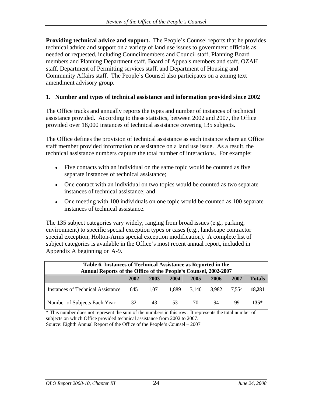**Providing technical advice and support.** The People's Counsel reports that he provides technical advice and support on a variety of land use issues to government officials as needed or requested, including Councilmembers and Council staff, Planning Board members and Planning Department staff, Board of Appeals members and staff, OZAH staff, Department of Permitting services staff, and Department of Housing and Community Affairs staff. The People's Counsel also participates on a zoning text amendment advisory group.

#### **1. Number and types of technical assistance and information provided since 2002**

The Office tracks and annually reports the types and number of instances of technical assistance provided. According to these statistics, between 2002 and 2007, the Office provided over 18,000 instances of technical assistance covering 135 subjects.

The Office defines the provision of technical assistance as each instance where an Office staff member provided information or assistance on a land use issue. As a result, the technical assistance numbers capture the total number of interactions. For example:

- Five contacts with an individual on the same topic would be counted as five separate instances of technical assistance;
- One contact with an individual on two topics would be counted as two separate instances of technical assistance; and
- One meeting with 100 individuals on one topic would be counted as 100 separate instances of technical assistance.

The 135 subject categories vary widely, ranging from broad issues (e.g., parking, environment) to specific special exception types or cases (e.g., landscape contractor special exception, Holton-Arms special exception modification). A complete list of subject categories is available in the Office's most recent annual report, included in Appendix A beginning on A-9.

| Table 6. Instances of Technical Assistance as Reported in the<br>Annual Reports of the Office of the People's Counsel, 2002-2007 |             |       |       |       |       |       |               |
|----------------------------------------------------------------------------------------------------------------------------------|-------------|-------|-------|-------|-------|-------|---------------|
|                                                                                                                                  | <b>2002</b> | 2003  | 2004  | 2005  | 2006  | 2007  | <b>Totals</b> |
| Instances of Technical Assistance                                                                                                | 645         | 1,071 | 1,889 | 3,140 | 3,982 | 7,554 | 18,281        |
| Number of Subjects Each Year                                                                                                     |             |       |       |       |       | -99   | 135*          |

\* This number does not represent the sum of the numbers in this row. It represents the total number of subjects on which Office provided technical assistance from 2002 to 2007. Source: Eighth Annual Report of the Office of the People's Counsel – 2007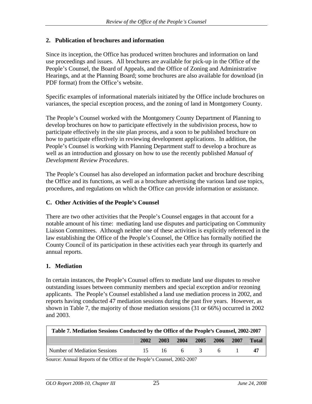#### **2. Publication of brochures and information**

Since its inception, the Office has produced written brochures and information on land use proceedings and issues. All brochures are available for pick-up in the Office of the People's Counsel, the Board of Appeals, and the Office of Zoning and Administrative Hearings, and at the Planning Board; some brochures are also available for download (in PDF format) from the Office's website.

Specific examples of informational materials initiated by the Office include brochures on variances, the special exception process, and the zoning of land in Montgomery County.

The People's Counsel worked with the Montgomery County Department of Planning to develop brochures on how to participate effectively in the subdivision process, how to participate effectively in the site plan process, and a soon to be published brochure on how to participate effectively in reviewing development applications. In addition, the People's Counsel is working with Planning Department staff to develop a brochure as well as an introduction and glossary on how to use the recently published *Manual of Development Review Procedures*.

The People's Counsel has also developed an information packet and brochure describing the Office and its functions, as well as a brochure advertising the various land use topics, procedures, and regulations on which the Office can provide information or assistance.

# **C. Other Activities of the People s Counsel**

There are two other activities that the People's Counsel engages in that account for a notable amount of his time: mediating land use disputes and participating on Community Liaison Committees. Although neither one of these activities is explicitly referenced in the law establishing the Office of the People's Counsel, the Office has formally notified the County Council of its participation in these activities each year through its quarterly and annual reports.

#### **1. Mediation**

In certain instances, the People's Counsel offers to mediate land use disputes to resolve outstanding issues between community members and special exception and/or rezoning applicants. The People's Counsel established a land use mediation process in 2002, and reports having conducted 47 mediation sessions during the past five years. However, as shown in Table 7, the majority of those mediation sessions (31 or 66%) occurred in 2002 and 2003.

| Table 7. Mediation Sessions Conducted by the Office of the People's Counsel, 2002-2007 |      |             |             |      |      |      |       |
|----------------------------------------------------------------------------------------|------|-------------|-------------|------|------|------|-------|
|                                                                                        | 2002 | <b>2003</b> | <b>2004</b> | 2005 | 2006 | 2007 | Total |
| <b>Number of Mediation Sessions</b>                                                    |      |             |             |      |      |      |       |

Source: Annual Reports of the Office of the People's Counsel, 2002-2007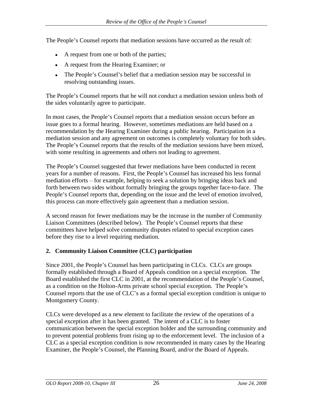The People's Counsel reports that mediation sessions have occurred as the result of:

- A request from one or both of the parties;
- A request from the Hearing Examiner; or
- The People's Counsel's belief that a mediation session may be successful in resolving outstanding issues.

The People's Counsel reports that he will not conduct a mediation session unless both of the sides voluntarily agree to participate.

In most cases, the People's Counsel reports that a mediation session occurs before an issue goes to a formal hearing. However, sometimes mediations are held based on a recommendation by the Hearing Examiner during a public hearing. Participation in a mediation session and any agreement on outcomes is completely voluntary for both sides. The People's Counsel reports that the results of the mediation sessions have been mixed, with some resulting in agreements and others not leading to agreement.

The People's Counsel suggested that fewer mediations have been conducted in recent years for a number of reasons. First, the People's Counsel has increased his less formal mediation efforts  $-$  for example, helping to seek a solution by bringing ideas back and forth between two sides without formally bringing the groups together face-to-face. The People's Counsel reports that, depending on the issue and the level of emotion involved, this process can more effectively gain agreement than a mediation session.

A second reason for fewer mediations may be the increase in the number of Community Liaison Committees (described below). The People's Counsel reports that these committees have helped solve community disputes related to special exception cases before they rise to a level requiring mediation.

# **2. Community Liaison Committee (CLC) participation**

Since 2001, the People's Counsel has been participating in CLCs. CLCs are groups formally established through a Board of Appeals condition on a special exception. The Board established the first CLC in 2001, at the recommendation of the People's Counsel, as a condition on the Holton-Arms private school special exception. The People's Counsel reports that the use of CLC's as a formal special exception condition is unique to Montgomery County.

CLCs were developed as a new element to facilitate the review of the operations of a special exception after it has been granted. The intent of a CLC is to foster communication between the special exception holder and the surrounding community and to prevent potential problems from rising up to the enforcement level. The inclusion of a CLC as a special exception condition is now recommended in many cases by the Hearing Examiner, the People's Counsel, the Planning Board, and/or the Board of Appeals.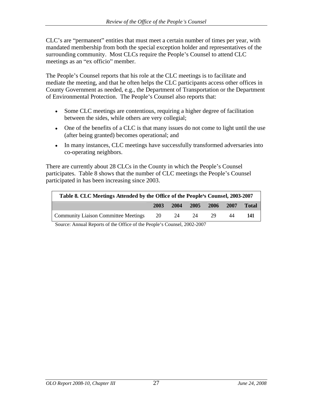CLC's are "permanent" entities that must meet a certain number of times per year, with mandated membership from both the special exception holder and representatives of the surrounding community. Most CLCs require the People's Counsel to attend CLC meetings as an "ex officio" member.

The People's Counsel reports that his role at the CLC meetings is to facilitate and mediate the meeting, and that he often helps the CLC participants access other offices in County Government as needed, e.g., the Department of Transportation or the Department of Environmental Protection. The People's Counsel also reports that:

- Some CLC meetings are contentious, requiring a higher degree of facilitation between the sides, while others are very collegial;
- One of the benefits of a CLC is that many issues do not come to light until the use (after being granted) becomes operational; and
- In many instances, CLC meetings have successfully transformed adversaries into co-operating neighbors.

There are currently about 28 CLCs in the County in which the People's Counsel participates. Table 8 shows that the number of CLC meetings the People's Counsel participated in has been increasing since 2003.

| Table 8. CLC Meetings Attended by the Office of the People's Counsel, 2003-2007 |  |  |                                |
|---------------------------------------------------------------------------------|--|--|--------------------------------|
|                                                                                 |  |  | 2003 2004 2005 2006 2007 Total |
| <b>Community Liaison Committee Meetings</b>                                     |  |  |                                |

Source: Annual Reports of the Office of the People's Counsel, 2002-2007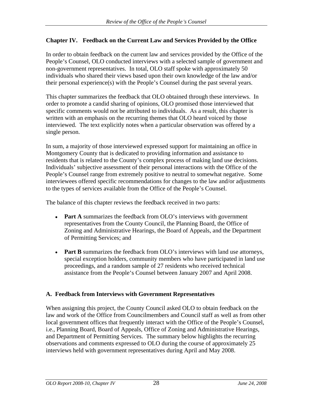# **Chapter IV. Feedback on the Current Law and Services Provided by the Office**

In order to obtain feedback on the current law and services provided by the Office of the People's Counsel, OLO conducted interviews with a selected sample of government and non-government representatives. In total, OLO staff spoke with approximately 50 individuals who shared their views based upon their own knowledge of the law and/or their personal experience(s) with the People's Counsel during the past several years.

This chapter summarizes the feedback that OLO obtained through these interviews. In order to promote a candid sharing of opinions, OLO promised those interviewed that specific comments would not be attributed to individuals. As a result, this chapter is written with an emphasis on the recurring themes that OLO heard voiced by those interviewed. The text explicitly notes when a particular observation was offered by a single person.

In sum, a majority of those interviewed expressed support for maintaining an office in Montgomery County that is dedicated to providing information and assistance to residents that is related to the County's complex process of making land use decisions. Individuals' subjective assessment of their personal interactions with the Office of the People's Counsel range from extremely positive to neutral to somewhat negative. Some interviewees offered specific recommendations for changes to the law and/or adjustments to the types of services available from the Office of the People's Counsel.

The balance of this chapter reviews the feedback received in two parts:

- Part A summarizes the feedback from OLO's interviews with government representatives from the County Council, the Planning Board, the Office of Zoning and Administrative Hearings, the Board of Appeals, and the Department of Permitting Services; and
- **Part B** summarizes the feedback from OLO's interviews with land use attorneys,  $\bullet$ special exception holders, community members who have participated in land use proceedings, and a random sample of 27 residents who received technical assistance from the People's Counsel between January 2007 and April 2008.

#### **A. Feedback from Interviews with Government Representatives**

When assigning this project, the County Council asked OLO to obtain feedback on the law and work of the Office from Councilmembers and Council staff as well as from other local government offices that frequently interact with the Office of the People's Counsel, i.e., Planning Board, Board of Appeals, Office of Zoning and Administrative Hearings, and Department of Permitting Services.The summary below highlights the recurring observations and comments expressed to OLO during the course of approximately 25 interviews held with government representatives during April and May 2008.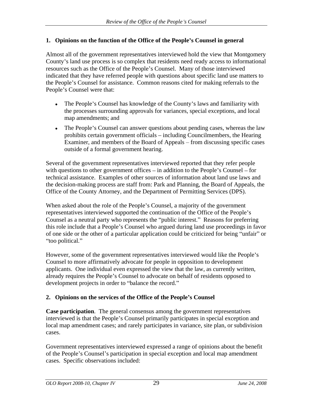#### **1. Opinions on the function of the Office of the People s Counsel in general**

Almost all of the government representatives interviewed hold the view that Montgomery County's land use process is so complex that residents need ready access to informational resources such as the Office of the People's Counsel. Many of those interviewed indicated that they have referred people with questions about specific land use matters to the People's Counsel for assistance. Common reasons cited for making referrals to the People's Counsel were that:

- The People's Counsel has knowledge of the County's laws and familiarity with the processes surrounding approvals for variances, special exceptions, and local map amendments; and
- The People's Counsel can answer questions about pending cases, whereas the law prohibits certain government officials – including Councilmembers, the Hearing Examiner, and members of the Board of Appeals – from discussing specific cases outside of a formal government hearing.

Several of the government representatives interviewed reported that they refer people with questions to other government offices  $-$  in addition to the People's Counsel  $-$  for technical assistance. Examples of other sources of information about land use laws and the decision-making process are staff from: Park and Planning, the Board of Appeals, the Office of the County Attorney, and the Department of Permitting Services (DPS).

When asked about the role of the People's Counsel, a majority of the government representatives interviewed supported the continuation of the Office of the People's Counsel as a neutral party who represents the "public interest." Reasons for preferring this role include that a People's Counsel who argued during land use proceedings in favor of one side or the other of a particular application could be criticized for being "unfair" or too political.

However, some of the government representatives interviewed would like the People's Counsel to more affirmatively advocate for people in opposition to development applicants. One individual even expressed the view that the law, as currently written, already requires the People's Counsel to advocate on behalf of residents opposed to development projects in order to "balance the record."

# **2. Opinions on the services of the Office of the People s Counsel**

**Case participation**. The general consensus among the government representatives interviewed is that the People's Counsel primarily participates in special exception and local map amendment cases; and rarely participates in variance, site plan, or subdivision cases.

Government representatives interviewed expressed a range of opinions about the benefit of the People's Counsel's participation in special exception and local map amendment cases. Specific observations included: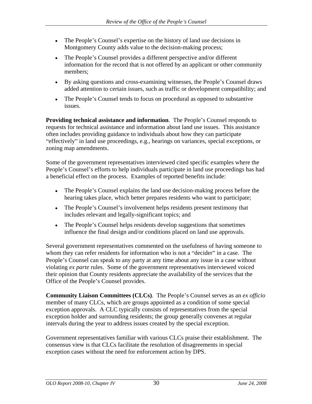- The People's Counsel's expertise on the history of land use decisions in Montgomery County adds value to the decision-making process;
- The People's Counsel provides a different perspective and/or different information for the record that is not offered by an applicant or other community members; experience and the set of the set of the set of the set of the set of the set of the set of the set of the set of the set of the set of the set of the set of the set of the set of the set of the set of the set of
- By asking questions and cross-examining witnesses, the People's Counsel draws added attention to certain issues, such as traffic or development compatibility; and
- The People's Counsel tends to focus on procedural as opposed to substantive issues.

**Providing technical assistance and information.** The People's Counsel responds to requests for technical assistance and information about land use issues. This assistance often includes providing guidance to individuals about how they can participate "effectively" in land use proceedings, e.g., hearings on variances, special exceptions, or zoning map amendments.

Some of the government representatives interviewed cited specific examples where the People's Counsel's efforts to help individuals participate in land use proceedings has had a beneficial effect on the process. Examples of reported benefits include:

- The People's Counsel explains the land use decision-making process before the hearing takes place, which better prepares residents who want to participate;
- The People's Counsel's involvement helps residents present testimony that includes relevant and legally-significant topics; and
- $\bullet$ The People's Counsel helps residents develop suggestions that sometimes influence the final design and/or conditions placed on land use approvals.

Several government representatives commented on the usefulness of having someone to whom they can refer residents for information who is not a "decider" in a case. The People's Counsel can speak to any party at any time about any issue in a case without violating *ex parte* rules. Some of the government representatives interviewed voiced their opinion that County residents appreciate the availability of the services that the Office of the People's Counsel provides.

**Community Liaison Committees (CLCs).** The People's Counsel serves as an *ex officio* member of many CLCs, which are groups appointed as a condition of some special exception approvals. A CLC typically consists of representatives from the special exception holder and surrounding residents; the group generally convenes at regular intervals during the year to address issues created by the special exception.

Government representatives familiar with various CLCs praise their establishment. The consensus view is that CLCs facilitate the resolution of disagreements in special exception cases without the need for enforcement action by DPS.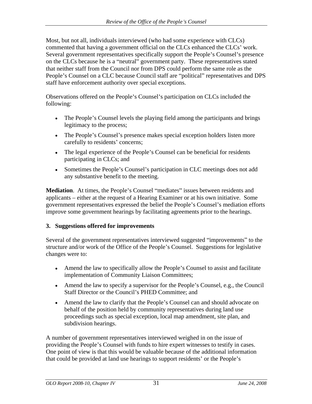Most, but not all, individuals interviewed (who had some experience with CLCs) commented that having a government official on the CLCs enhanced the CLCs' work. Several government representatives specifically support the People's Counsel's presence on the CLCs because he is a "neutral" government party. These representatives stated that neither staff from the Council nor from DPS could perform the same role as the People's Counsel on a CLC because Council staff are "political" representatives and DPS staff have enforcement authority over special exceptions.

Observations offered on the People's Counsel's participation on CLCs included the following:

- The People's Counsel levels the playing field among the participants and brings legitimacy to the process;
- The People's Counsel's presence makes special exception holders listen more carefully to residents' concerns;
- The legal experience of the People's Counsel can be beneficial for residents participating in CLCs; and
- Sometimes the People's Counsel's participation in CLC meetings does not add any substantive benefit to the meeting.

**Mediation.** At times, the People's Counsel "mediates" issues between residents and applicants – either at the request of a Hearing Examiner or at his own initiative. Some government representatives expressed the belief the People's Counsel's mediation efforts improve some government hearings by facilitating agreements prior to the hearings.

# **3. Suggestions offered for improvements**

Several of the government representatives interviewed suggested "improvements" to the structure and/or work of the Office of the People's Counsel. Suggestions for legislative changes were to:

- Amend the law to specifically allow the People's Counsel to assist and facilitate implementation of Community Liaison Committees;
- Amend the law to specify a supervisor for the People's Counsel, e.g., the Council Staff Director or the Council's PHED Committee; and
- Amend the law to clarify that the People's Counsel can and should advocate on behalf of the position held by community representatives during land use proceedings such as special exception, local map amendment, site plan, and subdivision hearings.

A number of government representatives interviewed weighed in on the issue of providing the People's Counsel with funds to hire expert witnesses to testify in cases. One point of view is that this would be valuable because of the additional information that could be provided at land use hearings to support residents' or the People's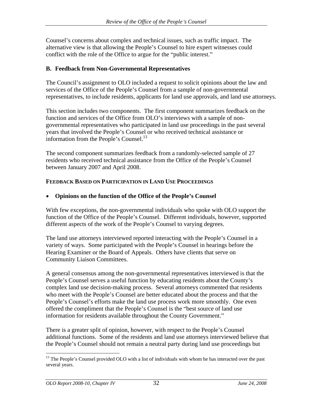Counsel's concerns about complex and technical issues, such as traffic impact. The alternative view is that allowing the People s Counsel to hire expert witnesses could conflict with the role of the Office to argue for the "public interest."

#### **B. Feedback from Non-Governmental Representatives**

The Council's assignment to OLO included a request to solicit opinions about the law and services of the Office of the People's Counsel from a sample of non-governmental representatives, to include residents, applicants for land use approvals, and land use attorneys.

This section includes two components. The first component summarizes feedback on the function and services of the Office from OLO's interviews with a sample of nongovernmental representatives who participated in land use proceedings in the past several years that involved the People's Counsel or who received technical assistance or information from the People's Counsel.<sup>13</sup>

The second component summarizes feedback from a randomly-selected sample of 27 residents who received technical assistance from the Office of the People's Counsel between January 2007 and April 2008.

## **FEEDBACK BASED ON PARTICIPATION IN LAND USE PROCEEDINGS**

## **Opinions on the function of the Office of the People s Counsel**

With few exceptions, the non-governmental individuals who spoke with OLO support the function of the Office of the People's Counsel. Different individuals, however, supported different aspects of the work of the People's Counsel to varying degrees.

The land use attorneys interviewed reported interacting with the People's Counsel in a variety of ways. Some participated with the People's Counsel in hearings before the Hearing Examiner or the Board of Appeals. Others have clients that serve on Community Liaison Committees.

A general consensus among the non-governmental representatives interviewed is that the People's Counsel serves a useful function by educating residents about the County's complex land use decision-making process. Several attorneys commented that residents who meet with the People's Counsel are better educated about the process and that the People's Counsel's efforts make the land use process work more smoothly. One even offered the compliment that the People's Counsel is the "best source of land use information for residents available throughout the County Government.

There is a greater split of opinion, however, with respect to the People's Counsel additional functions. Some of the residents and land use attorneys interviewed believe that the People's Counsel should not remain a neutral party during land use proceedings but

<sup>&</sup>lt;sup>13</sup> The People's Counsel provided OLO with a list of individuals with whom he has interacted over the past several years.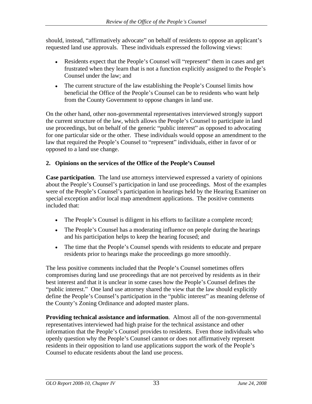should, instead, "affirmatively advocate" on behalf of residents to oppose an applicant's requested land use approvals. These individuals expressed the following views:

- Residents expect that the People's Counsel will "represent" them in cases and get frustrated when they learn that is not a function explicitly assigned to the People's Counsel under the law; and
- The current structure of the law establishing the People's Counsel limits how beneficial the Office of the People's Counsel can be to residents who want help from the County Government to oppose changes in land use.

On the other hand, other non-governmental representatives interviewed strongly support the current structure of the law, which allows the People's Counsel to participate in land use proceedings, but on behalf of the generic "public interest" as opposed to advocating for one particular side or the other. These individuals would oppose an amendment to the law that required the People's Counsel to "represent" individuals, either in favor of or opposed to a land use change.

# **2. Opinions on the services of the Office of the People s Counsel**

**Case participation**. The land use attorneys interviewed expressed a variety of opinions about the People's Counsel's participation in land use proceedings. Most of the examples were of the People's Counsel's participation in hearings held by the Hearing Examiner on special exception and/or local map amendment applications. The positive comments included that:  $\blacksquare$ 

- The People's Counsel is diligent in his efforts to facilitate a complete record;
- The People's Counsel has a moderating influence on people during the hearings and his participation helps to keep the hearing focused; and
- The time that the People's Counsel spends with residents to educate and prepare  $\bullet$ residents prior to hearings make the proceedings go more smoothly.

The less positive comments included that the People's Counsel sometimes offers compromises during land use proceedings that are not perceived by residents as in their best interest and that it is unclear in some cases how the People's Counsel defines the "public interest." One land use attorney shared the view that the law should explicitly define the People's Counsel's participation in the "public interest" as meaning defense of the County's Zoning Ordinance and adopted master plans.

**Providing technical assistance and information**. Almost all of the non-governmental representatives interviewed had high praise for the technical assistance and other information that the People's Counsel provides to residents. Even those individuals who openly question why the People's Counsel cannot or does not affirmatively represent residents in their opposition to land use applications support the work of the People's Counsel to educate residents about the land use process.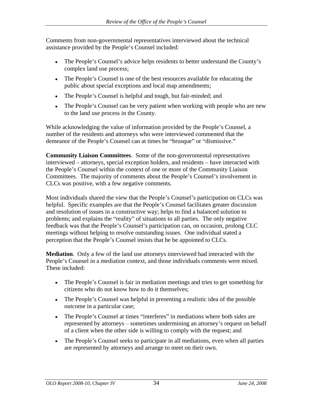Comments from non-governmental representatives interviewed about the technical assistance provided by the People's Counsel included:

- The People's Counsel's advice helps residents to better understand the County's complex land use process;
- The People's Counsel is one of the best resources available for educating the public about special exceptions and local map amendments;
- $\bullet$ The People's Counsel is helpful and tough, but fair-minded; and
- The People's Counsel can be very patient when working with people who are new to the land use process in the County.

While acknowledging the value of information provided by the People's Counsel, a number of the residents and attorneys who were interviewed commented that the demeanor of the People's Counsel can at times be "brusque" or "dismissive."

**Community Liaison Committees**. Some of the non-governmental representatives  $interviewed - attornevs. special exception holds.$  and residents  $-\hat{h}$  have interacted with the People's Counsel within the context of one or more of the Community Liaison Committees. The majority of comments about the People's Counsel's involvement in CLCs was positive, with a few negative comments.

Most individuals shared the view that the People's Counsel's participation on CLCs was helpful. Specific examples are that the People's Counsel facilitates greater discussion and resolution of issues in a constructive way; helps to find a balanced solution to problems; and explains the "reality" of situations to all parties. The only negative feedback was that the People's Counsel's participation can, on occasion, prolong CLC meetings without helping to resolve outstanding issues. One individual stated a perception that the People's Counsel insists that he be appointed to CLCs.

**Mediation**. Only a few of the land use attorneys interviewed had interacted with the People's Counsel in a mediation context, and those individuals comments were mixed. These included:  $\blacksquare$ 

- The People's Counsel is fair in mediation meetings and tries to get something for  $\bullet$ citizens who do not know how to do it themselves;
- The People's Counsel was helpful in presenting a realistic idea of the possible outcome in a particular case;
- $\bullet$ The People's Counsel at times "interferes" in mediations where both sides are represented by attorneys – sometimes undermining an attorney's request on behalf of a client when the other side is willing to comply with the request; and
- The People's Counsel seeks to participate in all mediations, even when all parties  $\bullet$ are represented by attorneys and arrange to meet on their own.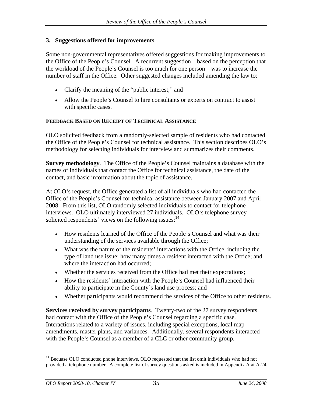#### **3. Suggestions offered for improvements**

Some non-governmental representatives offered suggestions for making improvements to the Office of the People's Counsel. A recurrent suggestion – based on the perception that the workload of the People's Counsel is too much for one person  $-$  was to increase the number of staff in the Office. Other suggested changes included amending the law to:

- Clarify the meaning of the "public interest;" and
- Allow the People's Counsel to hire consultants or experts on contract to assist with specific cases.

#### **FEEDBACK BASED ON RECEIPT OF TECHNICAL ASSISTANCE**

OLO solicited feedback from a randomly-selected sample of residents who had contacted the Office of the People's Counsel for technical assistance. This section describes OLO's methodology for selecting individuals for interview and summarizes their comments.

**Survey methodology.** The Office of the People's Counsel maintains a database with the names of individuals that contact the Office for technical assistance, the date of the contact, and basic information about the topic of assistance.

At OLO's request, the Office generated a list of all individuals who had contacted the Office of the People's Counsel for technical assistance between January 2007 and April 2008. From this list, OLO randomly selected individuals to contact for telephone interviews. OLO ultimately interviewed 27 individuals. OLO's telephone survey solicited respondents' views on the following issues: $14$ 14

- How residents learned of the Office of the People's Counsel and what was their understanding of the services available through the Office;
- What was the nature of the residents' interactions with the Office, including the type of land use issue; how many times a resident interacted with the Office; and where the interaction had occurred;
- Whether the services received from the Office had met their expectations;
- How the residents' interaction with the People's Counsel had influenced their ability to participate in the County's land use process; and
- Whether participants would recommend the services of the Office to other residents.

**Services received by survey participants**. Twenty-two of the 27 survey respondents had contact with the Office of the People's Counsel regarding a specific case. Interactions related to a variety of issues, including special exceptions, local map amendments, master plans, and variances. Additionally, several respondents interacted with the People's Counsel as a member of a CLC or other community group.

<sup>&</sup>lt;sup>14</sup> Becuase OLO conducted phone interviews, OLO requested that the list omit individuals who had not provided a telephone number. A complete list of survey questions asked is included in Appendix A at A-24.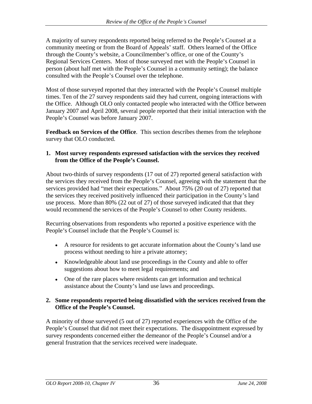A majority of survey respondents reported being referred to the People's Counsel at a community meeting or from the Board of Appeals' staff. Others learned of the Office through the County's website, a Councilmember's office, or one of the County's Regional Services Centers. Most of those surveyed met with the People's Counsel in person (about half met with the People s Counsel in a community setting); the balance consulted with the People's Counsel over the telephone.

Most of those surveyed reported that they interacted with the People's Counsel multiple times. Ten of the 27 survey respondents said they had current, ongoing interactions with the Office. Although OLO only contacted people who interacted with the Office between January 2007 and April 2008, several people reported that their initial interaction with the People's Counsel was before January 2007.

**Feedback on Services of the Office**.This section describes themes from the telephone survey that OLO conducted.

## **1. Most survey respondents expressed satisfaction with the services they received from the Office of the People's Counsel.**

About two-thirds of survey respondents (17 out of 27) reported general satisfaction with the services they received from the People's Counsel, agreeing with the statement that the services provided had "met their expectations." About 75% (20 out of 27) reported that the services they received positively influenced their participation in the County's land use process. More than 80% (22 out of 27) of those surveyed indicated that that they would recommend the services of the People's Counsel to other County residents.

Recurring observations from respondents who reported a positive experience with the People's Counsel include that the People's Counsel is:

- A resource for residents to get accurate information about the County's land use process without needing to hire a private attorney;
- Knowledgeable about land use proceedings in the County and able to offer suggestions about how to meet legal requirements; and
- One of the rare places where residents can get information and technical assistance about the County's land use laws and proceedings.

## **2. Some respondents reported being dissatisfied with the services received from the Office of the People s Counsel.**

A minority of those surveyed (5 out of 27) reported experiences with the Office of the People's Counsel that did not meet their expectations. The disappointment expressed by survey respondents concerned either the demeanor of the People's Counsel and/or a general frustration that the services received were inadequate.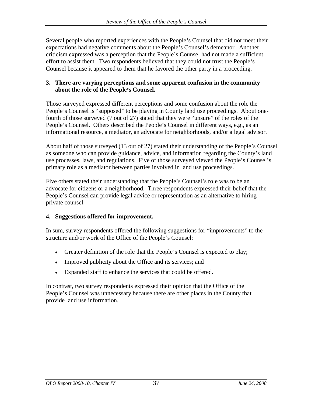Several people who reported experiences with the People's Counsel that did not meet their expectations had negative comments about the People's Counsel's demeanor. Another criticism expressed was a perception that the People's Counsel had not made a sufficient effort to assist them. Two respondents believed that they could not trust the People's Counsel because it appeared to them that he favored the other party in a proceeding.

# **3. There are varying perceptions and some apparent confusion in the community about the role of the People s Counsel.**

Those surveyed expressed different perceptions and some confusion about the role the People's Counsel is "supposed" to be playing in County land use proceedings. About onefourth of those surveyed  $(7 \text{ out of } 27)$  stated that they were "unsure" of the roles of the People's Counsel. Others described the People's Counsel in different ways, e.g., as an informational resource, a mediator, an advocate for neighborhoods, and/or a legal advisor.

About half of those surveyed (13 out of 27) stated their understanding of the People's Counsel as someone who can provide guidance, advice, and information regarding the County's land use processes, laws, and regulations. Five of those surveyed viewed the People's Counsel's primary role as a mediator between parties involved in land use proceedings.

Five others stated their understanding that the People's Counsel's role was to be an advocate for citizens or a neighborhood. Three respondents expressed their belief that the People's Counsel can provide legal advice or representation as an alternative to hiring private counsel.

# **4. Suggestions offered for improvement.**

In sum, survey respondents offered the following suggestions for "improvements" to the structure and/or work of the Office of the People's Counsel:

- Greater definition of the role that the People's Counsel is expected to play;
- Improved publicity about the Office and its services; and
- Expanded staff to enhance the services that could be offered.

In contrast, two survey respondents expressed their opinion that the Office of the People's Counsel was unnecessary because there are other places in the County that provide land use information.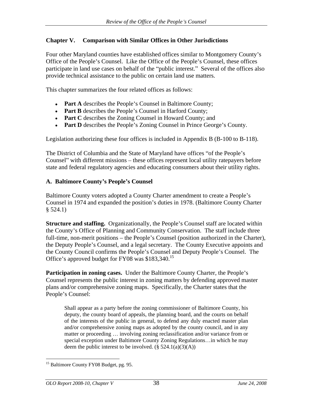## **Chapter V. Comparison with Similar Offices in Other Jurisdictions**

Four other Maryland counties have established offices similar to Montgomery County's Office of the People's Counsel. Like the Office of the People's Counsel, these offices participate in land use cases on behalf of the "public interest." Several of the offices also provide technical assistance to the public on certain land use matters.

This chapter summarizes the four related offices as follows:

- Part A describes the People's Counsel in Baltimore County;
- Part B describes the People's Counsel in Harford County;
- Part C describes the Zoning Counsel in Howard County; and
- Part D describes the People's Zoning Counsel in Prince George's County.

Legislation authorizing these four offices is included in Appendix B (B-100 to B-118).

The District of Columbia and the State of Maryland have offices "of the People's Counsel" with different missions – these offices represent local utility ratepayers before state and federal regulatory agencies and educating consumers about their utility rights.

#### **A. Baltimore County s People s Counsel**

Baltimore County voters adopted a County Charter amendment to create a People's Counsel in 1974 and expanded the position's duties in 1978. (Baltimore County Charter  $\S$  524.1)

**Structure and staffing.** Organizationally, the People's Counsel staff are located within the County's Office of Planning and Community Conservation. The staff include three full-time, non-merit positions – the People's Counsel (position authorized in the Charter), the Deputy People's Counsel, and a legal secretary. The County Executive appoints and the County Council confirms the People's Counsel and Deputy People's Counsel. The Office's approved budget for FY08 was  $$183,340$ <sup>15</sup>

**Participation in zoning cases.** Under the Baltimore County Charter, the People's Counsel represents the public interest in zoning matters by defending approved master plans and/or comprehensive zoning maps. Specifically, the Charter states that the People's Counsel:

Shall appear as a party before the zoning commissioner of Baltimore County, his deputy, the county board of appeals, the planning board, and the courts on behalf of the interests of the public in general, to defend any duly enacted master plan and/or comprehensive zoning maps as adopted by the county council, and in any matter or proceeding ... involving zoning reclassification and/or variance from or special exception under Baltimore County Zoning Regulations... in which he may deem the public interest to be involved.  $(\S 524.1(a)(3)(A))$ 

<sup>&</sup>lt;sup>15</sup> Baltimore County FY08 Budget, pg. 95.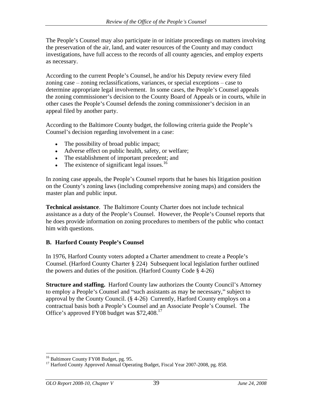The People's Counsel may also participate in or initiate proceedings on matters involving the preservation of the air, land, and water resources of the County and may conduct investigations, have full access to the records of all county agencies, and employ experts as necessary.

According to the current People's Counsel, he and/or his Deputy review every filed zoning case  $-\frac{1}{2}$  zoning reclassifications, variances, or special exceptions  $-\frac{1}{2}$  case to determine appropriate legal involvement. In some cases, the People's Counsel appeals the zoning commissioner's decision to the County Board of Appeals or in courts, while in other cases the People's Counsel defends the zoning commissioner's decision in an appeal filed by another party.

According to the Baltimore County budget, the following criteria guide the People's Counsel's decision regarding involvement in a case:

- The possibility of broad public impact;
- Adverse effect on public health, safety, or welfare;
- The establishment of important precedent; and
- The existence of significant legal issues.<sup>16</sup>

In zoning case appeals, the People's Counsel reports that he bases his litigation position on the County's zoning laws (including comprehensive zoning maps) and considers the master plan and public input.

**Technical assistance**. The Baltimore County Charter does not include technical assistance as a duty of the People's Counsel. However, the People's Counsel reports that he does provide information on zoning procedures to members of the public who contact him with questions.

# **B. Harford County People s Counsel**

In 1976, Harford County voters adopted a Charter amendment to create a People's Counsel. (Harford County Charter § 224) Subsequent local legislation further outlined the powers and duties of the position. (Harford County Code § 4-26)

**Structure and staffing.** Harford County law authorizes the County Council's Attorney to employ a People's Counsel and "such assistants as may be necessary," subject to approval by the County Council. (§ 4-26) Currently, Harford County employs on a contractual basis both a People's Counsel and an Associate People's Counsel. The Office's approved FY08 budget was \$72,408.<sup>17</sup>

<sup>&</sup>lt;sup>16</sup> Baltimore County FY08 Budget, pg. 95.<br><sup>17</sup> Harford County Approved Annual Operating Budget, Fiscal Year 2007-2008, pg. 858.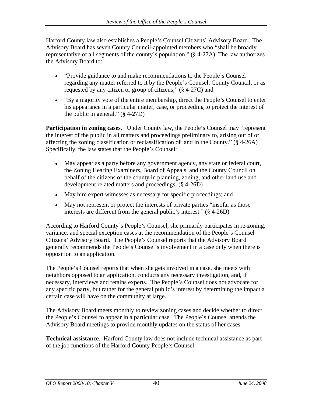Harford County law also establishes a People's Counsel Citizens' Advisory Board. The Advisory Board has seven County Council-appointed members who "shall be broadly representative of all segments of the county's population."  $(\S 4-27A)$  The law authorizes the Advisory Board to:

- "Provide guidance to and make recommendations to the People's Counsel regarding any matter referred to it by the People's Counsel, County Council, or as requested by any citizen or group of citizens; (§ 4-27C) and
- By a majority vote of the entire membership, direct the People's Counsel to enter his appearance in a particular matter, case, or proceeding to protect the interest of the public in general."  $(\S$  4-27D)

**Participation in zoning cases.** Under County law, the People's Counsel may "represent the interest of the public in all matters and proceedings preliminary to, arising out of or affecting the zoning classification or reclassification of land in the County."  $(\S 4{\text -}26A)$ Specifically, the law states that the People's Counsel:

- May appear as a party before any government agency, any state or federal court, the Zoning Hearing Examiners, Board of Appeals, and the County Council on behalf of the citizens of the county in planning, zoning, and other land use and development related matters and proceedings; (§ 4-26D)
- May hire expert witnesses as necessary for specific proceedings; and
- May not represent or protect the interests of private parties "insofar as those interests are different from the general public's interest."  $(\S 4\n-26D)$

According to Harford County's People's Counsel, she primarily participates in re-zoning, variance, and special exception cases at the recommendation of the People's Counsel Citizens' Advisory Board. The People's Counsel reports that the Advisory Board generally recommends the People's Counsel's involvement in a case only when there is opposition to an application.

The People's Counsel reports that when she gets involved in a case, she meets with neighbors opposed to an application, conducts any necessary investigation, and, if necessary, interviews and retains experts. The People's Counsel does not advocate for any specific party, but rather for the general public's interest by determining the impact a certain case will have on the community at large.

The Advisory Board meets monthly to review zoning cases and decide whether to direct the People's Counsel to appear in a particular case. The People's Counsel attends the Advisory Board meetings to provide monthly updates on the status of her cases.

**Technical assistance**. Harford County law does not include technical assistance as part of the job functions of the Harford County People's Counsel.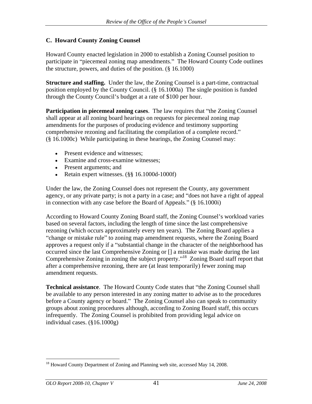# **C. Howard County Zoning Counsel**

Howard County enacted legislation in 2000 to establish a Zoning Counsel position to participate in "piecemeal zoning map amendments." The Howard County Code outlines the structure, powers, and duties of the position. (§ 16.1000)

**Structure and staffing.** Under the law, the Zoning Counsel is a part-time, contractual position employed by the County Council. (§ 16.1000a) The single position is funded through the County Council's budget at a rate of \$100 per hour.

**Participation in piecemeal zoning cases**. The law requires that "the Zoning Counsel shall appear at all zoning board hearings on requests for piecemeal zoning map amendments for the purposes of producing evidence and testimony supporting comprehensive rezoning and facilitating the compilation of a complete record. (§ 16.1000c) While participating in these hearings, the Zoning Counsel may:

- Present evidence and witnesses;
- Examine and cross-examine witnesses:
- Present arguments; and  $\blacksquare$
- Retain expert witnesses. (§§ 16.1000d-1000f)

Under the law, the Zoning Counsel does not represent the County, any government agency, or any private party; is not a party in a case; and "does not have a right of appeal in connection with any case before the Board of Appeals." (§ 16.1000i)

According to Howard County Zoning Board staff, the Zoning Counsel's workload varies based on several factors, including the length of time since the last comprehensive rezoning (which occurs approximately every ten years). The Zoning Board applies a "change or mistake rule" to zoning map amendment requests, where the Zoning Board approves a request only if a "substantial change in the character of the neighborhood has occurred since the last Comprehensive Zoning or [] a mistake was made during the last Comprehensive Zoning in zoning the subject property."<sup>18</sup> Zoning Board staff report that after a comprehensive rezoning, there are (at least temporarily) fewer zoning map amendment requests.

**Technical assistance.** The Howard County Code states that "the Zoning Counsel shall be available to any person interested in any zoning matter to advise as to the procedures before a County agency or board." The Zoning Counsel also can speak to community groups about zoning procedures although, according to Zoning Board staff, this occurs infrequently. The Zoning Counsel is prohibited from providing legal advice on individual cases. (§16.1000g)

<sup>&</sup>lt;sup>18</sup> Howard County Department of Zoning and Planning web site, accessed May 14, 2008.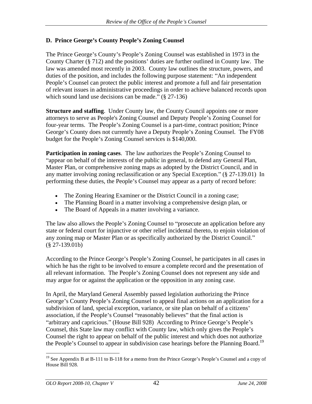# **D. Prince George s County People s Zoning Counsel**

The Prince George's County's People's Zoning Counsel was established in 1973 in the County Charter  $(\S 712)$  and the positions' duties are further outlined in County law. The law was amended most recently in 2003. County law outlines the structure, powers, and duties of the position, and includes the following purpose statement: "An independent People's Counsel can protect the public interest and promote a full and fair presentation of relevant issues in administrative proceedings in order to achieve balanced records upon which sound land use decisions can be made."  $(\S 27-136)$ 

**Structure and staffing.** Under County law, the County Council appoints one or more attorneys to serve as People's Zoning Counsel and Deputy People s Zoning Counsel for four-year terms. The People's Zoning Counsel is a part-time, contract position; Prince George's County does not currently have a Deputy People's Zoning Counsel. The FY08 budget for the People's Zoning Counsel services is \$140,000.

**Participation in zoning cases**. The law authorizes the People's Zoning Counsel to appear on behalf of the interests of the public in general, to defend any General Plan, Master Plan, or comprehensive zoning maps as adopted by the District Council, and in any matter involving zoning reclassification or any Special Exception." (§ 27-139.01) In performing these duties, the People's Counsel may appear as a party of record before:

- The Zoning Hearing Examiner or the District Council in a zoning case;
- The Planning Board in a matter involving a comprehensive design plan, or
- The Board of Appeals in a matter involving a variance.

The law also allows the People's Zoning Counsel to "prosecute an application before any state or federal court for injunctive or other relief incidental thereto, to enjoin violation of any zoning map or Master Plan or as specifically authorized by the District Council.  $(\S 27-139.01b)$ 

According to the Prince George's People's Zoning Counsel, he participates in all cases in which he has the right to be involved to ensure a complete record and the presentation of all relevant information. The People's Zoning Counsel does not represent any side and may argue for or against the application or the opposition in any zoning case.

In April, the Maryland General Assembly passed legislation authorizing the Prince George's County People's Zoning Counsel to appeal final actions on an application for a subdivision of land, special exception, variance, or site plan on behalf of a citizens' association, if the People's Counsel "reasonably believes" that the final action is "arbitrary and capricious." (House Bill 928) According to Prince George's People's Counsel, this State law may conflict with County law, which only gives the People's Counsel the right to appear on behalf of the public interest and which does not authorize the People's Counsel to appear in subdivision case hearings before the Planning Board.<sup>19</sup>

<sup>&</sup>lt;sup>19</sup> See Appendix B at B-111 to B-118 for a memo from the Prince George's People's Counsel and a copy of House Bill 928.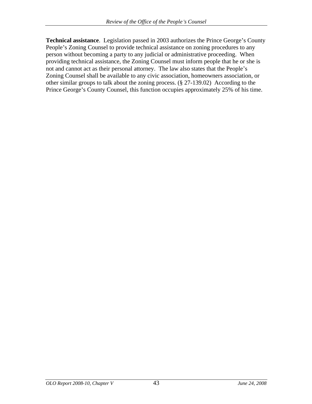**Technical assistance**. Legislation passed in 2003 authorizes the Prince George's County People's Zoning Counsel to provide technical assistance on zoning procedures to any person without becoming a party to any judicial or administrative proceeding. When providing technical assistance, the Zoning Counsel must inform people that he or she is not and cannot act as their personal attorney. The law also states that the People's Zoning Counsel shall be available to any civic association, homeowners association, or other similar groups to talk about the zoning process. (§ 27-139.02) According to the Prince George's County Counsel, this function occupies approximately 25% of his time.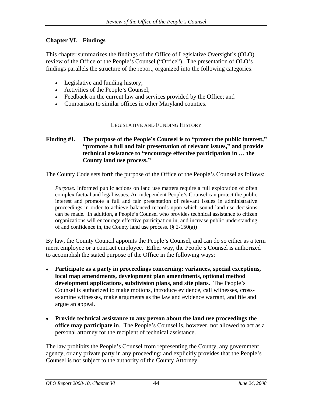## **Chapter VI. Findings**

This chapter summarizes the findings of the Office of Legislative Oversight's (OLO) review of the Office of the People's Counsel ("Office"). The presentation of OLO's findings parallels the structure of the report, organized into the following categories:

- Legislative and funding history;
- Activities of the People's Counsel:
- Feedback on the current law and services provided by the Office; and
- Comparison to similar offices in other Maryland counties.

#### LEGISLATIVE AND FUNDING HISTORY

#### **Finding #1.** The purpose of the People's Counsel is to "protect the public interest," **promote a full and fair presentation of relevant issues, and provide technical assistance to "encourage effective participation in**  $\ldots$  **the County land use process.**

The County Code sets forth the purpose of the Office of the People's Counsel as follows:

*Purpose*. Informed public actions on land use matters require a full exploration of often complex factual and legal issues. An independent People's Counsel can protect the public interest and promote a full and fair presentation of relevant issues in administrative proceedings in order to achieve balanced records upon which sound land use decisions can be made. In addition, a People's Counsel who provides technical assistance to citizen organizations will encourage effective participation in, and increase public understanding of and confidence in, the County land use process. (§ 2-150(a))

By law, the County Council appoints the People's Counsel, and can do so either as a term merit employee or a contract employee. Either way, the People's Counsel is authorized to accomplish the stated purpose of the Office in the following ways:

- **Participate as a party in proceedings concerning: variances, special exceptions, local map amendments, development plan amendments, optional method development applications, subdivision plans, and site plans**. The People's Counsel is authorized to make motions, introduce evidence, call witnesses, cross examine witnesses, make arguments as the law and evidence warrant, and file and argue an appeal.
- **Provide technical assistance to any person about the land use proceedings the office may participate in.** The People's Counsel is, however, not allowed to act as a personal attorney for the recipient of technical assistance.

The law prohibits the People's Counsel from representing the County, any government agency, or any private party in any proceeding; and explicitly provides that the People's Counsel is not subject to the authority of the County Attorney.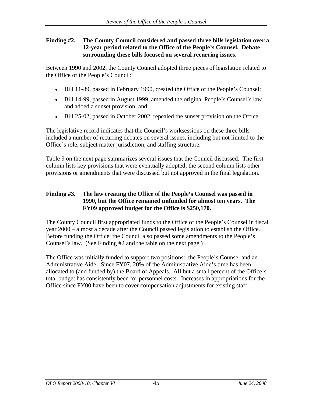#### **Finding #2. The County Council considered and passed three bills legislation over a**  12-year period related to the Office of the People's Counsel. Debate **surrounding these bills focused on several recurring issues.**

Between 1990 and 2002, the County Council adopted three pieces of legislation related to the Office of the People's Council:

- Bill 11-89, passed in February 1990, created the Office of the People's Counsel;
- Bill 14-99, passed in August 1999, amended the original People's Counsel's law and added a sunset provision; and
- Bill 25-02, passed in October 2002, repealed the sunset provision on the Office.

The legislative record indicates that the Council's worksessions on these three bills included a number of recurring debates on several issues, including but not limited to the Office's role, subject matter jurisdiction, and staffing structure.

Table 9 on the next page summarizes several issues that the Council discussed. The first column lists key provisions that were eventually adopted; the second column lists other provisions or amendments that were discussed but not approved in the final legislation.

## **Finding #3.** The law creating the Office of the People's Counsel was passed in **1990, but the Office remained unfunded for almost ten years. The FY09 approved budget for the Office is \$250,170.**

The County Council first appropriated funds to the Office of the People's Counsel in fiscal year 2000 – almost a decade after the Council passed legislation to establish the Office. Before funding the Office, the Council also passed some amendments to the People's Counsel's law. (See Finding #2 and the table on the next page.)

The Office was initially funded to support two positions: the People's Counsel and an Administrative Aide. Since FY07, 20% of the Administrative Aide's time has been allocated to (and funded by) the Board of Appeals. All but a small percent of the Office's total budget has consistently been for personnel costs. Increases in appropriations for the Office since FY00 have been to cover compensation adjustments for existing staff.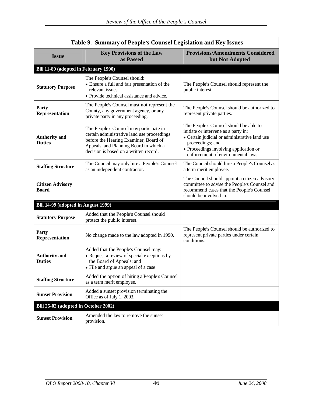|                                         | Table 9. Summary of People's Counsel Legislation and Key Issues                                                                                                                                                     |                                                                                                                                                                                                                                     |
|-----------------------------------------|---------------------------------------------------------------------------------------------------------------------------------------------------------------------------------------------------------------------|-------------------------------------------------------------------------------------------------------------------------------------------------------------------------------------------------------------------------------------|
| <b>Issue</b>                            | <b>Key Provisions of the Law</b><br>as Passed                                                                                                                                                                       | <b>Provisions/Amendments Considered</b><br>but Not Adopted                                                                                                                                                                          |
| Bill 11-89 (adopted in February 1990)   |                                                                                                                                                                                                                     |                                                                                                                                                                                                                                     |
| <b>Statutory Purpose</b>                | The People's Counsel should:<br>• Ensure a full and fair presentation of the<br>relevant issues.<br>• Provide technical assistance and advice.                                                                      | The People's Counsel should represent the<br>public interest.                                                                                                                                                                       |
| Party<br>Representation                 | The People's Counsel must not represent the<br>County, any government agency, or any<br>private party in any proceeding.                                                                                            | The People's Counsel should be authorized to<br>represent private parties.                                                                                                                                                          |
| <b>Authority and</b><br><b>Duties</b>   | The People's Counsel may participate in<br>certain administrative land use proceedings<br>before the Hearing Examiner, Board of<br>Appeals, and Planning Board in which a<br>decision is based on a written record. | The People's Counsel should be able to<br>initiate or intervene as a party in:<br>• Certain judicial or administrative land use<br>proceedings; and<br>• Proceedings involving application or<br>enforcement of environmental laws. |
| <b>Staffing Structure</b>               | The Council may only hire a People's Counsel<br>as an independent contractor.                                                                                                                                       | The Council should hire a People's Counsel as<br>a term merit employee.                                                                                                                                                             |
| <b>Citizen Advisory</b><br><b>Board</b> |                                                                                                                                                                                                                     | The Council should appoint a citizen advisory<br>committee to advise the People's Counsel and<br>recommend cases that the People's Counsel<br>should be involved in.                                                                |
| Bill 14-99 (adopted in August 1999)     |                                                                                                                                                                                                                     |                                                                                                                                                                                                                                     |
| <b>Statutory Purpose</b>                | Added that the People's Counsel should<br>protect the public interest.                                                                                                                                              |                                                                                                                                                                                                                                     |
| Party<br>Representation                 | No change made to the law adopted in 1990.                                                                                                                                                                          | The People's Counsel should be authorized to<br>represent private parties under certain<br>conditions.                                                                                                                              |
| <b>Authority and</b><br><b>Duties</b>   | Added that the People's Counsel may:<br>• Request a review of special exceptions by<br>the Board of Appeals; and<br>• File and argue an appeal of a case                                                            |                                                                                                                                                                                                                                     |
| <b>Staffing Structure</b>               | Added the option of hiring a People's Counsel<br>as a term merit employee.                                                                                                                                          |                                                                                                                                                                                                                                     |
| <b>Sunset Provision</b>                 | Added a sunset provision terminating the<br>Office as of July 1, 2003.                                                                                                                                              |                                                                                                                                                                                                                                     |
| Bill 25-02 (adopted in October 2002)    |                                                                                                                                                                                                                     |                                                                                                                                                                                                                                     |
| <b>Sunset Provision</b>                 | Amended the law to remove the sunset<br>provision.                                                                                                                                                                  |                                                                                                                                                                                                                                     |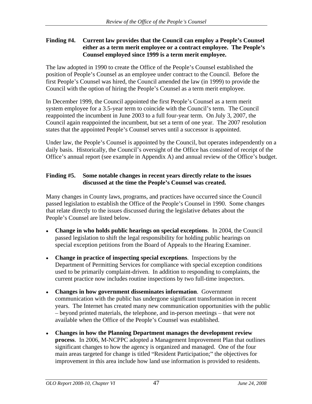#### **Finding #4. Current law provides that the Council can employ a People s Counsel either as a term merit employee or a contract employee. The People s Counsel employed since 1999 is a term merit employee.**

The law adopted in 1990 to create the Office of the People s Counsel established the position of People's Counsel as an employee under contract to the Council. Before the first People's Counsel was hired, the Council amended the law (in 1999) to provide the Council with the option of hiring the People's Counsel as a term merit employee.

In December 1999, the Council appointed the first People's Counsel as a term merit system employee for a 3.5-year term to coincide with the Council's term. The Council reappointed the incumbent in June 2003 to a full four-year term. On July 3, 2007, the Council again reappointed the incumbent, but set a term of one year. The 2007 resolution states that the appointed People's Counsel serves until a successor is appointed.

Under law, the People's Counsel is appointed by the Council, but operates independently on a daily basis. Historically, the Council's oversight of the Office has consisted of receipt of the Office's annual report (see example in Appendix A) and annual review of the Office's budget.

# **Finding #5. Some notable changes in recent years directly relate to the issues discussed at the time the People s Counsel wascreated.**

Many changes in County laws, programs, and practices have occurred since the Council passed legislation to establish the Office of the People's Counsel in 1990. Some changes that relate directly to the issues discussed during the legislative debates about the People's Counsel are listed below.

- $\bullet$ **Change in who holds public hearings on special exceptions**. In 2004, the Council passed legislation to shift the legal responsibility for holding public hearings on special exception petitions from the Board of Appeals to the Hearing Examiner.
- **Change in practice of inspecting special exceptions**. Inspections by the Department of Permitting Services for compliance with special exception conditions used to be primarily complaint-driven. In addition to responding to complaints, the current practice now includes routine inspections by two full-time inspectors.
- **Changes in how government disseminates information**. Government communication with the public has undergone significant transformation in recent years. The Internet has created many new communication opportunities with the public  $-$  beyond printed materials, the telephone, and in-person meetings  $-$  that were not available when the Office of the People's Counsel was established.
- **Changes in how the Planning Department manages the development review process**. In 2006, M-NCPPC adopted a Management Improvement Plan that outlines significant changes to how the agency is organized and managed. One of the four main areas targeted for change is titled "Resident Participation;" the objectives for improvement in this area include how land use information is provided to residents.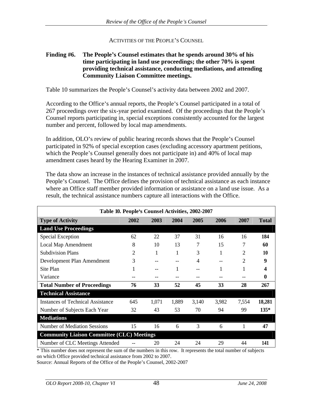ACTIVITIES OF THE PEOPLE'S COUNSEL

#### **Finding #6. The People s Counsel estimates that he spends around 30% of his time participating in land use proceedings; the other 70% is spent providing technical assistance, conducting mediations, and attending Community Liaison Committee meetings.**

Table 10 summarizes the People's Counsel's activity data between 2002 and 2007.

According to the Office's annual reports, the People's Counsel participated in a total of 267 proceedings over the six-year period examined. Of the proceedings that the People's Counsel reports participating in, special exceptions consistently accounted for the largest number and percent, followed by local map amendments.

In addition, OLO's review of public hearing records shows that the People's Counsel participated in 92% of special exception cases (excluding accessory apartment petitions, which the People's Counsel generally does not participate in) and 40% of local map amendment cases heard by the Hearing Examiner in 2007.

The data show an increase in the instances of technical assistance provided annually by the People's Counsel. The Office defines the provision of technical assistance as each instance where an Office staff member provided information or assistance on a land use issue. As a result, the technical assistance numbers capture all interactions with the Office.

|                                                   | Table 10. People's Counsel Activities, 2002-2007 |                                                     |      |       |       |                                                |       |              |  |  |
|---------------------------------------------------|--------------------------------------------------|-----------------------------------------------------|------|-------|-------|------------------------------------------------|-------|--------------|--|--|
| Type of Activity                                  |                                                  | 2002                                                | 2003 | 2004  | 2005  | 2006                                           | 2007  | <b>Total</b> |  |  |
| <b>Land Use Proceedings</b>                       |                                                  |                                                     |      |       |       |                                                |       |              |  |  |
| Special Exception                                 |                                                  | 62                                                  |      |       |       | 16                                             | 16    | 184          |  |  |
| <b>Local Map Amendment</b>                        |                                                  |                                                     |      |       |       | 15                                             |       | 60           |  |  |
| Subdivision Plans                                 |                                                  |                                                     |      |       |       |                                                |       | 10           |  |  |
| Development Plan Amendment                        |                                                  |                                                     |      |       |       | $- -$                                          |       |              |  |  |
| Site Plan                                         |                                                  |                                                     |      |       | $-$   |                                                |       |              |  |  |
| Variance                                          |                                                  | $- -$                                               |      |       | $- -$ | $\hspace{0.1mm}-\hspace{0.1mm}-\hspace{0.1mm}$ | $- -$ |              |  |  |
| Total Number of Proceedings                       |                                                  | 76                                                  | 33   | 52    | 45    | 33                                             | 28    | 267          |  |  |
| <b>Technical Assistance</b>                       |                                                  |                                                     |      |       |       |                                                |       |              |  |  |
| Instances of Technical Assistance                 |                                                  | 645                                                 |      | 1,889 | 3,140 | 3,982                                          | 7,554 | 18,281       |  |  |
| Number of Subjects Each Year                      |                                                  | 32                                                  | 43   | 53    | 70    | 94                                             | 99    | 135*         |  |  |
| <b>Mediations</b>                                 |                                                  |                                                     |      |       |       |                                                |       |              |  |  |
| Number of Mediation Sessions                      |                                                  | 15                                                  |      |       |       |                                                |       |              |  |  |
| <b>Community Liaison Committee (CLC) Meetings</b> |                                                  |                                                     |      |       |       |                                                |       |              |  |  |
| Number of CLC Meetings Attended                   |                                                  | $\hspace{0.05cm} -\hspace{0.05cm} -\hspace{0.05cm}$ | 20   | 24    | 24    | 29                                             | 44    | 141          |  |  |

\* This number does not represent the sum of the numbers in this row. It represents the total number of subjects on which Office provided technical assistance from 2002 to 2007.

Source: Annual Reports of the Office of the People's Counsel, 2002-2007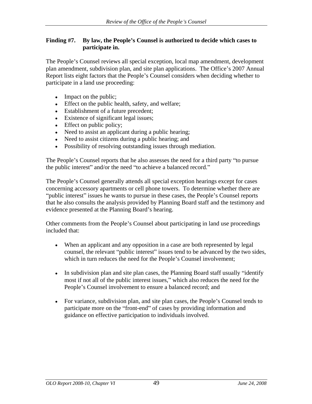#### **Finding #7. By law, the People s Counsel is authorized to decide which cases to participate in.**

The People's Counsel reviews all special exception, local map amendment, development plan amendment, subdivision plan, and site plan applications. The Office's 2007 Annual Report lists eight factors that the People's Counsel considers when deciding whether to participate in a land use proceeding:

- Impact on the public;
- Effect on the public health, safety, and welfare;
- Establishment of a future precedent;
- Existence of significant legal issues;
- Effect on public policy;
- Need to assist an applicant during a public hearing;
- Need to assist citizens during a public hearing; and
- Possibility of resolving outstanding issues through mediation.

The People's Counsel reports that he also assesses the need for a third party "to pursue

the public interest" and/or the need "to achieve a balanced record."<br>The People's Counsel generally attends all special exception hearings except for cases concerning accessory apartments or cell phone towers. To determine whether there are "public interest" issues he wants to pursue in these cases, the People's Counsel reports that he also consults the analysis provided by Planning Board staff and the testimony and evidence presented at the Planning Board's hearing.

Other comments from the People's Counsel about participating in land use proceedings included that:  $\blacksquare$ 

- When an applicant and any opposition in a case are both represented by legal counsel, the relevant "public interest" issues tend to be advanced by the two sides, which in turn reduces the need for the People's Counsel involvement;
- In subdivision plan and site plan cases, the Planning Board staff usually "identify" most if not all of the public interest issues," which also reduces the need for the People's Counsel involvement to ensure a balanced record; and
- For variance, subdivision plan, and site plan cases, the People's Counsel tends to participate more on the "front-end" of cases by providing information and guidance on effective participation to individuals involved.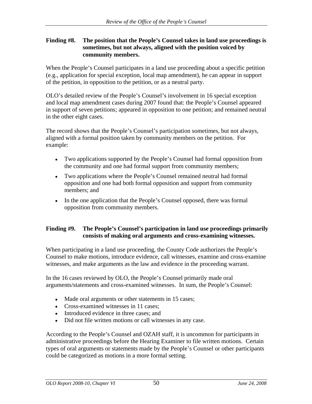#### **Finding #8. The position that the People s Counsel takes in land use proceedings is sometimes, but not always, aligned with the position voiced by community members.**

When the People's Counsel participates in a land use proceeding about a specific petition (e.g., application for special exception, local map amendment), he can appear in support of the petition, in opposition to the petition, or as a neutral party.

OLO s detailed review of the People s Counsel s involvement in 16 special exception and local map amendment cases during 2007 found that: the People's Counsel appeared in support of seven petitions; appeared in opposition to one petition; and remained neutral in the other eight cases.

The record shows that the People's Counsel's participation sometimes, but not always, aligned with a formal position taken by community members on the petition. For example: the contract of the contract of the contract of the contract of the contract of the contract of the contract of the contract of the contract of the contract of the contract of the contract of the contract of the c

- Two applications supported by the People's Counsel had formal opposition from the community and one had formal support from community members;
- Two applications where the People's Counsel remained neutral had formal opposition and one had both formal opposition and support from community members; and the state of the state of the state of the state of the state of the state of the state of the state of the state of the state of the state of the state of the state of the state of the state of the state of t
- In the one application that the People's Counsel opposed, there was formal opposition from community members.

# **Finding #9. The People s Counsel s participation in land use proceedings primarily consists of making oral arguments and cross-examining witnesses.**

When participating in a land use proceeding, the County Code authorizes the People's Counsel to make motions, introduce evidence, call witnesses, examine and cross-examine witnesses, and make arguments as the law and evidence in the proceeding warrant.

In the 16 cases reviewed by OLO, the People's Counsel primarily made oral arguments/statements and cross-examined witnesses. In sum, the People's Counsel:

- Made oral arguments or other statements in 15 cases;
- Cross-examined witnesses in 11 cases:
- Introduced evidence in three cases; and
- Did not file written motions or call witnesses in any case.

According to the People's Counsel and OZAH staff, it is uncommon for participants in administrative proceedings before the Hearing Examiner to file written motions. Certain types of oral arguments or statements made by the People's Counsel or other participants could be categorized as motions in a more formal setting.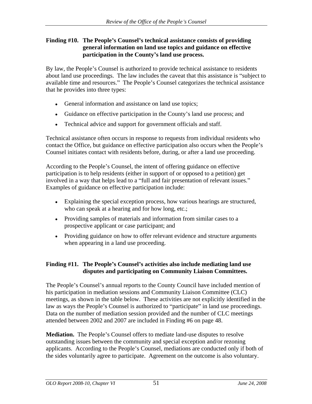#### **Finding #10. The People s Counsel s technical assistance consists of providing general information on land use topics and guidance on effective participation in the County s land use process.**

By law, the People's Counsel is authorized to provide technical assistance to residents about land use proceedings. The law includes the caveat that this assistance is "subject to available time and resources." The People's Counsel categorizes the technical assistance that he provides into three types:

- General information and assistance on land use topics;
- Guidance on effective participation in the County's land use process; and
- Technical advice and support for government officials and staff.

Technical assistance often occurs in response to requests from individual residents who contact the Office, but guidance on effective participation also occurs when the People's Counsel initiates contact with residents before, during, or after a land use proceeding.

According to the People's Counsel, the intent of offering guidance on effective participation is to help residents (either in support of or opposed to a petition) get involved in a way that helps lead to a "full and fair presentation of relevant issues." Examples of guidance on effective participation include:

- Explaining the special exception process, how various hearings are structured, who can speak at a hearing and for how long, etc.;
- Providing samples of materials and information from similar cases to a prospective applicant or case participant; and
- Providing guidance on how to offer relevant evidence and structure arguments when appearing in a land use proceeding.

# **Finding #11. The People s Counsel s activities also include mediating land use disputes and participating on Community Liaison Committees.**

The People's Counsel's annual reports to the County Council have included mention of his participation in mediation sessions and Community Liaison Committee (CLC) meetings, as shown in the table below. These activities are not explicitly identified in the law as ways the People's Counsel is authorized to "participate" in land use proceedings. Data on the number of mediation session provided and the number of CLC meetings attended between 2002 and 2007 are included in Finding #6 on page 48.

**Mediation.** The People's Counsel offers to mediate land-use disputes to resolve outstanding issues between the community and special exception and/or rezoning applicants. According to the People's Counsel, mediations are conducted only if both of the sides voluntarily agree to participate. Agreement on the outcome is also voluntary.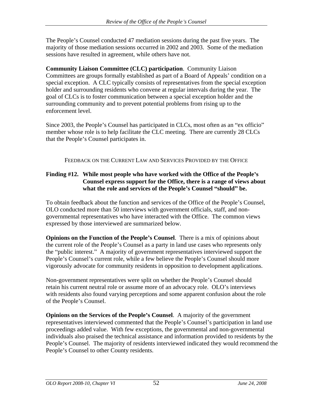The People's Counsel conducted 47 mediation sessions during the past five years. The majority of those mediation sessions occurred in 2002 and 2003. Some of the mediation sessions have resulted in agreement, while others have not.

**Community Liaison Committee (CLC) participation**. Community Liaison Committees are groups formally established as part of a Board of Appeals' condition on a special exception. A CLC typically consists of representatives from the special exception holder and surrounding residents who convene at regular intervals during the year. The goal of CLCs is to foster communication between a special exception holder and the surrounding community and to prevent potential problems from rising up to the enforcement level.

Since 2003, the People's Counsel has participated in CLCs, most often as an "ex officio" member whose role is to help facilitate the CLC meeting. There are currently 28 CLCs that the People's Counsel participates in.

FEEDBACK ON THE CURRENT LAW AND SERVICES PROVIDED BY THE OFFICE

## **Finding #12. While most people who have worked with the Office of the People s Counsel express support for the Office, there is a range of views about what the role and services of the People's Counsel "should" be.**

To obtain feedback about the function and services of the Office of the People's Counsel, OLO conducted more than 50 interviews with government officials, staff, and non governmental representatives who have interacted with the Office. The common views expressed by those interviewed are summarized below.

**Opinions on the Function of the People s Counsel**. There is a mix of opinions about the current role of the People's Counsel as a party in land use cases who represents only the "public interest." A majority of government representatives interviewed support the People's Counsel's current role, while a few believe the People's Counsel should more vigorously advocate for community residents in opposition to development applications.

Non-government representatives were split on whether the People's Counsel should retain his current neutral role or assume more of an advocacy role. OLO's interviews with residents also found varying perceptions and some apparent confusion about the role of the People's Counsel.

**Opinions on the Services of the People s Counsel**. A majority of the government representatives interviewed commented that the People's Counsel's participation in land use proceedings added value. With few exceptions, the governmental and non-governmental individuals also praised the technical assistance and information provided to residents by the People's Counsel. The majority of residents interviewed indicated they would recommend the People's Counsel to other County residents.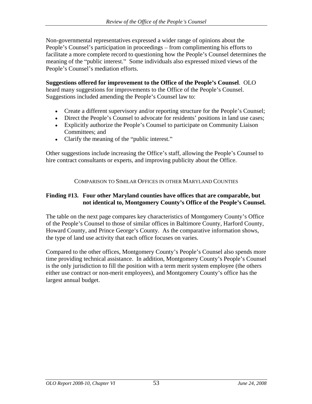Non-governmental representatives expressed a wider range of opinions about the People's Counsel's participation in proceedings – from complimenting his efforts to facilitate a more complete record to questioning how the People's Counsel determines the meaning of the "public interest." Some individuals also expressed mixed views of the People's Counsel's mediation efforts.

**Suggestions offered for improvement to the Office of the People's Counsel.** OLO heard many suggestions for improvements to the Office of the People's Counsel. Suggestions included amending the People's Counsel law to:

- Create a different supervisory and/or reporting structure for the People's Counsel;
- Direct the People's Counsel to advocate for residents' positions in land use cases;
- Explicitly authorize the People's Counsel to participate on Community Liaison Committees; and
- Clarify the meaning of the "public interest."

Other suggestions include increasing the Office's staff, allowing the People's Counsel to hire contract consultants or experts, and improving publicity about the Office.

COMPARISON TO SIMILAR OFFICES IN OTHER MARYLAND COUNTIES

# **Finding #13. Four other Maryland counties have offices that are comparable, but not identical to, Montgomery County s Office of the People s Counsel.**

The table on the next page compares key characteristics of Montgomery County's Office of the People's Counsel to those of similar offices in Baltimore County, Harford County, Howard County, and Prince George's County. As the comparative information shows, the type of land use activity that each office focuses on varies.

Compared to the other offices, Montgomery County's People's Counsel also spends more time providing technical assistance. In addition, Montgomery County's People's Counsel is the only jurisdiction to fill the position with a term merit system employee (the others either use contract or non-merit employees), and Montgomery County's office has the largest annual budget.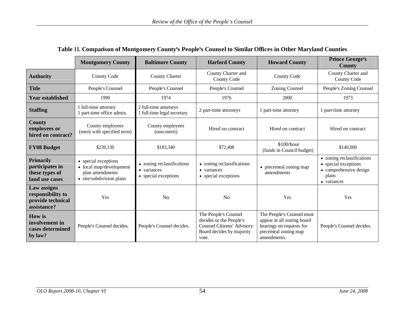|                                                                      | <b>Montgomery County</b>                                                                       | <b>Baltimore County</b>                                           | <b>Harford County</b>                                                                                               | <b>Howard County</b>                                                                                                       | <b>Prince George's</b><br>County                                                                     |
|----------------------------------------------------------------------|------------------------------------------------------------------------------------------------|-------------------------------------------------------------------|---------------------------------------------------------------------------------------------------------------------|----------------------------------------------------------------------------------------------------------------------------|------------------------------------------------------------------------------------------------------|
| <b>Authority</b>                                                     | <b>County Code</b>                                                                             | <b>County Charter</b>                                             | County Charter and<br><b>County Code</b>                                                                            | <b>County Code</b>                                                                                                         | County Charter and<br><b>County Code</b>                                                             |
| <b>Title</b>                                                         | People's Counsel                                                                               | People's Counsel                                                  | People's Counsel                                                                                                    | <b>Zoning Counsel</b>                                                                                                      | People's Zoning Counsel                                                                              |
| Year established                                                     | 1990                                                                                           | 1974                                                              | 1976                                                                                                                | 2000                                                                                                                       | 1973                                                                                                 |
| <b>Staffing</b>                                                      | 1 full-time attorney<br>1 part-time office admin.                                              | 2 full-time attorneys<br>1 full-time legal secretary              | 2 part-time attorneys                                                                                               | 1 part-time attorney                                                                                                       | 1 part-time attorney                                                                                 |
| County<br>employees or<br>hired on contract?                         | County employees<br>(merit with specified term)                                                | County employees<br>(non-merit)                                   | Hired on contract                                                                                                   | Hired on contract                                                                                                          | Hired on contract                                                                                    |
| <b>FY08 Budget</b>                                                   | \$239,130                                                                                      | \$183,340                                                         | \$72,408                                                                                                            | \$100/hour<br>(funds in Council budget)                                                                                    | \$140,000                                                                                            |
| Primarily<br>participates in<br>these types of<br>land use cases     | • special exceptions<br>• local map/development<br>plan amendments<br>• site/subdivision plans | • zoning reclassifications<br>• variances<br>• special exceptions | • zoning reclassifications<br>• variances<br>• special exceptions                                                   | • piecemeal zoning map<br>amendments                                                                                       | • zoning reclassifications<br>• special exceptions<br>• comprehensive design<br>plans<br>• variances |
| Law assigns<br>responsibility to<br>provide technical<br>assistance? | Yes                                                                                            | No                                                                | No                                                                                                                  | Yes                                                                                                                        | Yes                                                                                                  |
| <b>How is</b><br>involvement in<br>cases determined<br>by law?       | People's Counsel decides.                                                                      | People's Counsel decides.                                         | The People's Counsel<br>decides or the People's<br>Counsel Citizens' Advisory<br>Board decides by majority<br>vote. | The People's Counsel must<br>appear at all zoning board<br>hearings on requests for<br>piecemeal zoning map<br>amendments. | People's Counsel decides.                                                                            |

**Table 11. Comparison of Montgomery County s People s Counsel to SimilarOffices in Other Maryland Counties**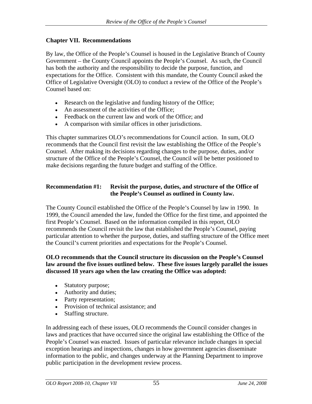#### **Chapter VII. Recommendations**

By law, the Office of the People's Counsel is housed in the Legislative Branch of County Government – the County Council appoints the People's Counsel. As such, the Council has both the authority and the responsibility to decide the purpose, function, and expectations for the Office. Consistent with this mandate, the County Council asked the Office of Legislative Oversight (OLO) to conduct a review of the Office of the People s Counsel based on:

- Research on the legislative and funding history of the Office;
- An assessment of the activities of the Office;
- Feedback on the current law and work of the Office; and
- A comparison with similar offices in other jurisdictions.

This chapter summarizes OLO's recommendations for Council action. In sum, OLO recommends that the Council first revisit the law establishing the Office of the People's Counsel. After making its decisions regarding changes to the purpose, duties, and/or structure of the Office of the People's Counsel, the Council will be better positioned to make decisions regarding the future budget and staffing of the Office.

#### **Recommendation #1: Revisit the purpose, duties, and structure of the Office of the People s Counsel as outlined in County law.**

The County Council established the Office of the People's Counsel by law in 1990. In 1999, the Council amended the law, funded the Office for the first time, and appointed the first People's Counsel. Based on the information compiled in this report, OLO recommends the Council revisit the law that established the People's Counsel, paying particular attention to whether the purpose, duties, and staffing structure of the Office meet the Council's current priorities and expectations for the People's Counsel.

#### **OLO recommends that the Council structure its discussion on the People s Counsel law around the five issues outlined below. These five issues largely parallel the issues discussed 18 years ago when the law creating the Office was adopted:**

- Statutory purpose;
- Authority and duties;
- Party representation;
- Provision of technical assistance; and
- Staffing structure.  $\bullet$

In addressing each of these issues, OLO recommends the Council consider changes in laws and practices that have occurred since the original law establishing the Office of the People's Counsel was enacted. Issues of particular relevance include changes in special exception hearings and inspections, changes in how government agencies disseminate information to the public, and changes underway at the Planning Department to improve public participation in the development review process.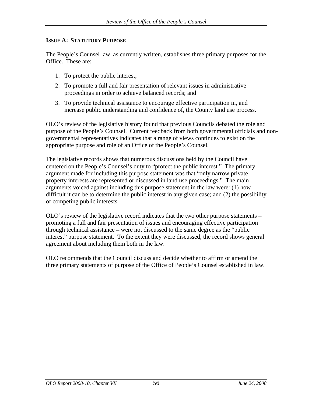#### **ISSUE A: STATUTORY PURPOSE**

The People's Counsel law, as currently written, establishes three primary purposes for the Office. These are:

- 1. To protect the public interest;
- 2. To promote a full and fair presentation of relevant issues in administrative proceedings in order to achieve balanced records; and
- 3. To provide technical assistance to encourage effective participation in, and increase public understanding and confidence of, the County land use process.

OLO's review of the legislative history found that previous Councils debated the role and purpose of the People's Counsel. Current feedback from both governmental officials and nongovernmental representatives indicates that a range of views continues to exist on the appropriate purpose and role of an Office of the People's Counsel.

The legislative records shows that numerous discussions held by the Council have centered on the People's Counsel's duty to "protect the public interest." The primary argument made for including this purpose statement was that "only narrow private" property interests are represented or discussed in land use proceedings. The main arguments voiced against including this purpose statement in the law were: (1) how difficult it can be to determine the public interest in any given case; and (2) the possibility of competing public interests.

 $OLO$ 's review of the legislative record indicates that the two other purpose statements  $$ promoting a full and fair presentation of issues and encouraging effective participation through technical assistance  $-$  were not discussed to the same degree as the "public" interest" purpose statement. To the extent they were discussed, the record shows general agreement about including them both in the law.

OLO recommends that the Council discuss and decide whether to affirm or amend the three primary statements of purpose of the Office of People's Counsel established in law.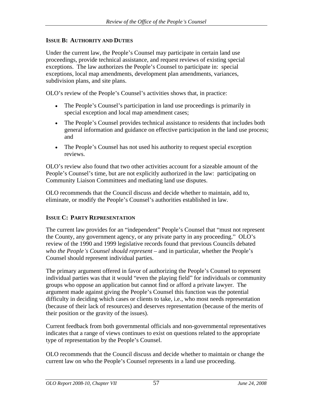#### **ISSUE B: AUTHORITY AND DUTIES**

Under the current law, the People's Counsel may participate in certain land use proceedings, provide technical assistance, and request reviews of existing special exceptions. The law authorizes the People's Counsel to participate in: special exceptions, local map amendments, development plan amendments, variances, subdivision plans, and site plans.

OLO's review of the People's Counsel's activities shows that, in practice:

- The People's Counsel's participation in land use proceedings is primarily in special exception and local map amendment cases;
- The People's Counsel provides technical assistance to residents that includes both general information and guidance on effective participation in the land use process; and
- The People's Counsel has not used his authority to request special exception reviews.

OLO s review also found that two other activities account for a sizeable amount of the People's Counsel's time, but are not explicitly authorized in the law: participating on Community Liaison Committees and mediating land use disputes.

OLO recommends that the Council discuss and decide whether to maintain, add to, eliminate, or modify the People's Counsel's authorities established in law.

#### **ISSUE C: PARTY REPRESENTATION**

The current law provides for an "independent" People's Counsel that "must not represent the County, any government agency, or any private party in any proceeding." OLO's review of the 1990 and 1999 legislative records found that previous Councils debated *who the People's Counsel should represent* – and in particular, whether the People's Counsel should represent individual parties.

The primary argument offered in favor of authorizing the People's Counsel to represent individual parties was that it would "even the playing field" for individuals or community groups who oppose an application but cannot find or afford a private lawyer. The argument made against giving the People's Counsel this function was the potential difficulty in deciding which cases or clients to take, i.e., who most needs representation (because of their lack of resources) and deserves representation (because of the merits of their position or the gravity of the issues).

Current feedback from both governmental officials and non-governmental representatives indicates that a range of views continues to exist on questions related to the appropriate type of representation by the People's Counsel.

OLO recommends that the Council discuss and decide whether to maintain or change the current law on who the People's Counsel represents in a land use proceeding.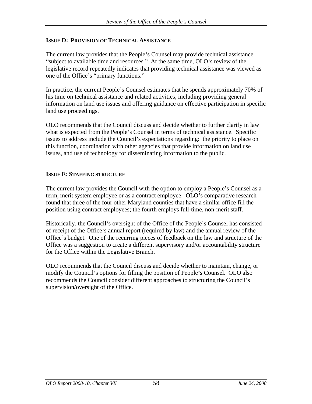## **ISSUE D: PROVISION OF TECHNICAL ASSISTANCE**

The current law provides that the People's Counsel may provide technical assistance "subject to available time and resources." At the same time, OLO's review of the legislative record repeatedly indicates that providing technical assistance was viewed as one of the Office's "primary functions."

In practice, the current People's Counsel estimates that he spends approximately 70% of his time on technical assistance and related activities, including providing general information on land use issues and offering guidance on effective participation in specific land use proceedings.

OLO recommends that the Council discuss and decide whether to further clarify in law what is expected from the People's Counsel in terms of technical assistance. Specific issues to address include the Council's expectations regarding: the priority to place on this function, coordination with other agencies that provide information on land use issues, and use of technology for disseminating information to the public.

## **ISSUE E: STAFFING STRUCTURE**

The current law provides the Council with the option to employ a People's Counsel as a term, merit system employee or as a contract employee. OLO's comparative research found that three of the four other Maryland counties that have a similar office fill the position using contract employees; the fourth employs full-time, non-merit staff.

Historically, the Council's oversight of the Office of the People's Counsel has consisted of receipt of the Office's annual report (required by law) and the annual review of the Office's budget. One of the recurring pieces of feedback on the law and structure of the Office was a suggestion to create a different supervisory and/or accountability structure for the Office within the Legislative Branch.

OLO recommends that the Council discuss and decide whether to maintain, change, or modify the Council's options for filling the position of People's Counsel. OLO also recommends the Council consider different approaches to structuring the Council's supervision/oversight of the Office.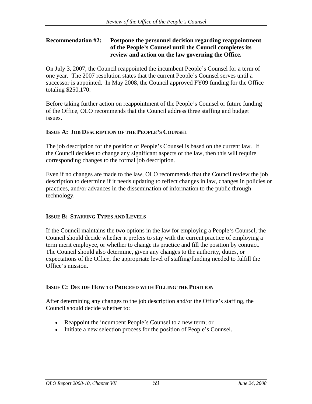#### **Recommendation #2: Postpone the personnel decision regarding reappointment of the People s Counsel until the Council completes its review and action on the law governing the Office.**

On July 3, 2007, the Council reappointed the incumbent People's Counsel for a term of one year. The 2007 resolution states that the current People's Counsel serves until a successor is appointed. In May 2008, the Council approved FY09 funding for the Office totaling \$250,170.

Before taking further action on reappointment of the People's Counsel or future funding of the Office, OLO recommends that the Council address three staffing and budget issues.

# **ISSUE A: JOB DESCRIPTION OF THE PEOPLE S COUNSEL**

The job description for the position of People's Counsel is based on the current law. If the Council decides to change any significant aspects of the law, then this will require corresponding changes to the formal job description.

Even if no changes are made to the law, OLO recommends that the Council review the job description to determine if it needs updating to reflect changes in law, changes in policies or practices, and/or advances in the dissemination of information to the public through technology.

#### **ISSUE B: STAFFING TYPES AND LEVELS**

If the Council maintains the two options in the law for employing a People's Counsel, the Council should decide whether it prefers to stay with the current practice of employing a term merit employee, or whether to change its practice and fill the position by contract. The Council should also determine, given any changes to the authority, duties, or expectations of the Office, the appropriate level of staffing/funding needed to fulfill the Office's mission.

#### **ISSUE C: DECIDE HOW TO PROCEED WITH FILLING THE POSITION**

After determining any changes to the job description and/or the Office's staffing, the Council should decide whether to:

- Reappoint the incumbent People's Counsel to a new term; or
- Initiate a new selection process for the position of People's Counsel.